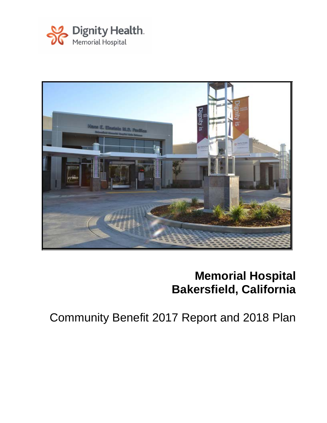



# **Memorial Hospital Bakersfield, California**

Community Benefit 2017 Report and 2018 Plan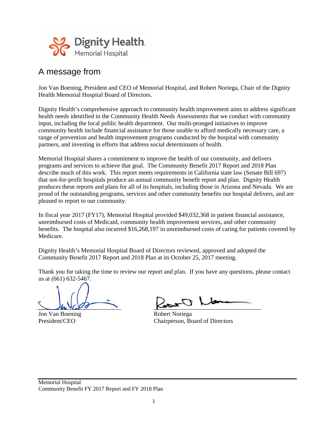

### A message from

Jon Van Boening, President and CEO of Memorial Hospital, and Robert Noriega, Chair of the Dignity Health Memorial Hospital Board of Directors.

Dignity Health's comprehensive approach to community health improvement aims to address significant health needs identified in the Community Health Needs Assessments that we conduct with community input, including the local public health department. Our multi-pronged initiatives to improve community health include financial assistance for those unable to afford medically necessary care, a range of prevention and health improvement programs conducted by the hospital with community partners, and investing in efforts that address social determinants of health.

Memorial Hospital shares a commitment to improve the health of our community, and delivers programs and services to achieve that goal. The Community Benefit 2017 Report and 2018 Plan describe much of this work. This report meets requirements in California state law (Senate Bill 697) that not-for-profit hospitals produce an annual community benefit report and plan. Dignity Health produces these reports and plans for all of its hospitals, including those in Arizona and Nevada. We are proud of the outstanding programs, services and other community benefits our hospital delivers, and are pleased to report to our community.

In fiscal year 2017 (FY17), Memorial Hospital provided \$49,032,368 in patient financial assistance, unreimbursed costs of Medicaid, community health improvement services, and other community benefits. The hospital also incurred \$16,268,197 in unreimbursed costs of caring for patients covered by Medicare.

Dignity Health's Memorial Hospital Board of Directors reviewed, approved and adopted the Community Benefit 2017 Report and 2018 Plan at its October 25, 2017 meeting.

Thank you for taking the time to review our report and plan. If you have any questions, please contact us at (661) 632-5467.

Jon Van Boening Robert Noriega

 $\bigcup_{\mathfrak{S}_{\mathbf{L}}} \bigvee_{\mathfrak{S}} \mathfrak{S}_{\mathfrak{S}}$ 

President/CEO Chairperson, Board of Directors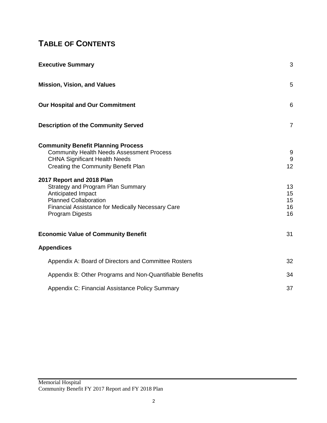## **TABLE OF CONTENTS**

| <b>Executive Summary</b>                                                                                                                                                                                                                                                                                                                                                                   | 3                                          |
|--------------------------------------------------------------------------------------------------------------------------------------------------------------------------------------------------------------------------------------------------------------------------------------------------------------------------------------------------------------------------------------------|--------------------------------------------|
| <b>Mission, Vision, and Values</b>                                                                                                                                                                                                                                                                                                                                                         | 5                                          |
| Our Hospital and Our Commitment                                                                                                                                                                                                                                                                                                                                                            | 6                                          |
| <b>Description of the Community Served</b>                                                                                                                                                                                                                                                                                                                                                 | $\overline{7}$                             |
| <b>Community Benefit Planning Process</b><br><b>Community Health Needs Assessment Process</b><br><b>CHNA Significant Health Needs</b><br>Creating the Community Benefit Plan<br>2017 Report and 2018 Plan<br><b>Strategy and Program Plan Summary</b><br>Anticipated Impact<br><b>Planned Collaboration</b><br><b>Financial Assistance for Medically Necessary Care</b><br>Program Digests | 9<br>9<br>12<br>13<br>15<br>15<br>16<br>16 |
| <b>Economic Value of Community Benefit</b>                                                                                                                                                                                                                                                                                                                                                 | 31                                         |
| <b>Appendices</b>                                                                                                                                                                                                                                                                                                                                                                          |                                            |
| Appendix A: Board of Directors and Committee Rosters                                                                                                                                                                                                                                                                                                                                       | 32                                         |
| Appendix B: Other Programs and Non-Quantifiable Benefits                                                                                                                                                                                                                                                                                                                                   | 34                                         |
| Appendix C: Financial Assistance Policy Summary                                                                                                                                                                                                                                                                                                                                            | 37                                         |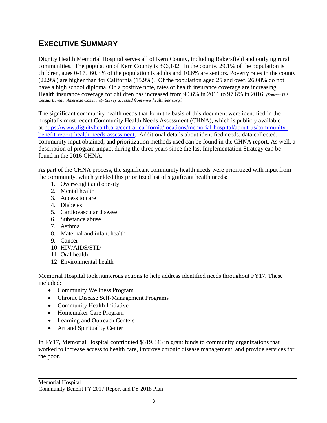### **EXECUTIVE SUMMARY**

Dignity Health Memorial Hospital serves all of Kern County, including Bakersfield and outlying rural communities. The population of Kern County is 896,142. In the county, 29.1% of the population is children, ages 0-17. 60.3% of the population is adults and 10.6% are seniors. Poverty rates in the county (22.9%) are higher than for California (15.9%). Of the population aged 25 and over, 26.08% do not have a high school diploma. On a positive note, rates of health insurance coverage are increasing. Health insurance coverage for children has increased from 90.6% in 2011 to 97.6% in 2016. *(Source: U.S. Census Bureau, American Community Survey accessed from www.healthykern.org.)*

The significant community health needs that form the basis of this document were identified in the hospital's most recent Community Health Needs Assessment (CHNA), which is publicly available at [https://www.dignityhealth.org/central-california/locations/memorial-hospital/about-us/community](https://www.dignityhealth.org/central-california/locations/memorial-hospital/about-us/community-benefit-report-health-needs-assessment)[benefit-report-health-needs-assessment.](https://www.dignityhealth.org/central-california/locations/memorial-hospital/about-us/community-benefit-report-health-needs-assessment) Additional details about identified needs, data collected, community input obtained, and prioritization methods used can be found in the CHNA report. As well, a description of program impact during the three years since the last Implementation Strategy can be found in the 2016 CHNA.

As part of the CHNA process, the significant community health needs were prioritized with input from the community, which yielded this prioritized list of significant health needs:

- 1. Overweight and obesity
- 2. Mental health
- 3. Access to care
- 4. Diabetes
- 5. Cardiovascular disease
- 6. Substance abuse
- 7. Asthma
- 8. Maternal and infant health
- 9. Cancer
- 10. HIV/AIDS/STD
- 11. Oral health
- 12. Environmental health

Memorial Hospital took numerous actions to help address identified needs throughout FY17. These included:

- Community Wellness Program
- Chronic Disease Self-Management Programs
- Community Health Initiative
- Homemaker Care Program
- Learning and Outreach Centers
- Art and Spirituality Center

In FY17, Memorial Hospital contributed \$319,343 in grant funds to community organizations that worked to increase access to health care, improve chronic disease management, and provide services for the poor.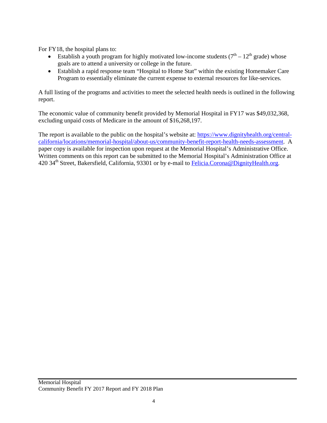For FY18, the hospital plans to:

- Establish a youth program for highly motivated low-income students  $(7<sup>th</sup> 12<sup>th</sup>$  grade) whose goals are to attend a university or college in the future.
- Establish a rapid response team "Hospital to Home Stat" within the existing Homemaker Care Program to essentially eliminate the current expense to external resources for like-services.

A full listing of the programs and activities to meet the selected health needs is outlined in the following report.

The economic value of community benefit provided by Memorial Hospital in FY17 was \$49,032,368, excluding unpaid costs of Medicare in the amount of \$16,268,197.

The report is available to the public on the hospital's website at: [https://www.dignityhealth.org/central](https://www.dignityhealth.org/central-california/locations/memorial-hospital/about-us/community-benefit-report-health-needs-assessment)[california/locations/memorial-hospital/about-us/community-benefit-report-health-needs-assessment.](https://www.dignityhealth.org/central-california/locations/memorial-hospital/about-us/community-benefit-report-health-needs-assessment) A paper copy is available for inspection upon request at the Memorial Hospital's Administrative Office. Written comments on this report can be submitted to the Memorial Hospital's Administration Office at 420 34<sup>th</sup> Street, Bakersfield, California, 93301 or by e-mail to [Felicia.Corona@DignityHealth.org.](mailto:Felicia.Corona@DignityHealth.org)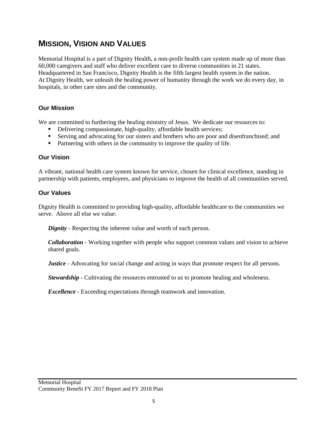### **MISSION, VISION AND VALUES**

Memorial Hospital is a part of Dignity Health, a non-profit health care system made up of more than 60,000 caregivers and staff who deliver excellent care to diverse communities in 21 states. Headquartered in San Francisco, Dignity Health is the fifth largest health system in the nation. At Dignity Health, we unleash the healing power of humanity through the work we do every day, in hospitals, in other care sites and the community.

#### **Our Mission**

We are committed to furthering the healing ministry of Jesus. We dedicate our resources to:

- Delivering compassionate, high-quality, affordable health services;
- Serving and advocating for our sisters and brothers who are poor and disenfranchised; and
- Partnering with others in the community to improve the quality of life.

#### **Our Vision**

A vibrant, national health care system known for service, chosen for clinical excellence, standing in partnership with patients, employees, and physicians to improve the health of all communities served.

#### **Our Values**

Dignity Health is committed to providing high-quality, affordable healthcare to the communities we serve. Above all else we value:

*Dignity* - Respecting the inherent value and worth of each person.

*Collaboration* - Working together with people who support common values and vision to achieve shared goals.

*Justice* - Advocating for social change and acting in ways that promote respect for all persons.

*Stewardship* - Cultivating the resources entrusted to us to promote healing and wholeness.

*Excellence* - Exceeding expectations through teamwork and innovation.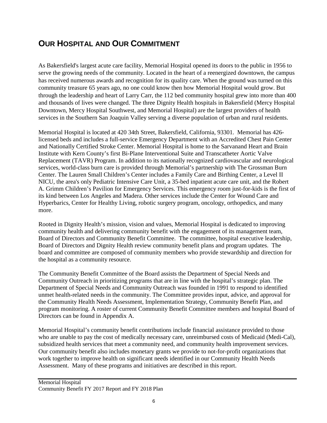### **OUR HOSPITAL AND OUR COMMITMENT**

As Bakersfield's largest acute care facility, Memorial Hospital opened its doors to the public in 1956 to serve the growing needs of the community. Located in the heart of a reenergized downtown, the campus has received numerous awards and recognition for its quality care. When the ground was turned on this community treasure 65 years ago, no one could know then how Memorial Hospital would grow. But through the leadership and heart of Larry Carr, the 112 bed community hospital grew into more than 400 and thousands of lives were changed. The three Dignity Health hospitals in Bakersfield (Mercy Hospital Downtown, Mercy Hospital Southwest, and Memorial Hospital) are the largest providers of health services in the Southern San Joaquin Valley serving a diverse population of urban and rural residents.

Memorial Hospital is located at 420 34th Street, Bakersfield, California, 93301. Memorial has 426 licensed beds and includes a full-service Emergency Department with an Accredited Chest Pain Center and Nationally Certified Stroke Center. Memorial Hospital is home to the Sarvanand Heart and Brain Institute with Kern County's first Bi-Plane Interventional Suite and Transcatheter Aortic Valve Replacement (TAVR) Program. In addition to its nationally recognized cardiovascular and neurological services, world-class burn care is provided through Memorial's partnership with The Grossman Burn Center. The Lauren Small Children's Center includes a Family Care and Birthing Center, a Level II NICU, the area's only Pediatric Intensive Care Unit, a 35-bed inpatient acute care unit, and the Robert A. Grimm Children's Pavilion for Emergency Services. This emergency room just-for-kids is the first of its kind between Los Angeles and Madera. Other services include the Center for Wound Care and Hyperbarics, Center for Healthy Living, robotic surgery program, oncology, orthopedics, and many more.

Rooted in Dignity Health's mission, vision and values, Memorial Hospital is dedicated to improving community health and delivering community benefit with the engagement of its management team, Board of Directors and Community Benefit Committee. The committee, hospital executive leadership, Board of Directors and Dignity Health review community benefit plans and program updates. The board and committee are composed of community members who provide stewardship and direction for the hospital as a community resource.

The Community Benefit Committee of the Board assists the Department of Special Needs and Community Outreach in prioritizing programs that are in line with the hospital's strategic plan. The Department of Special Needs and Community Outreach was founded in 1991 to respond to identified unmet health-related needs in the community. The Committee provides input, advice, and approval for the Community Health Needs Assessment, Implementation Strategy, Community Benefit Plan, and program monitoring. A roster of current Community Benefit Committee members and hospital Board of Directors can be found in Appendix A.

Memorial Hospital's community benefit contributions include financial assistance provided to those who are unable to pay the cost of medically necessary care, unreimbursed costs of Medicaid (Medi-Cal), subsidized health services that meet a community need, and community health improvement services. Our community benefit also includes monetary grants we provide to not-for-profit organizations that work together to improve health on significant needs identified in our Community Health Needs Assessment. Many of these programs and initiatives are described in this report.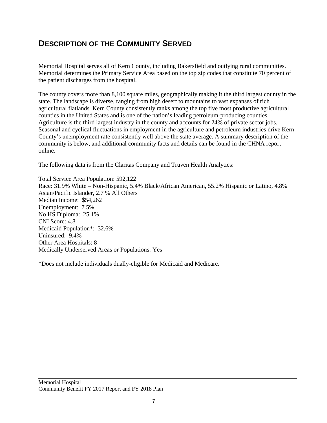### **DESCRIPTION OF THE COMMUNITY SERVED**

Memorial Hospital serves all of Kern County, including Bakersfield and outlying rural communities. Memorial determines the Primary Service Area based on the top zip codes that constitute 70 percent of the patient discharges from the hospital.

The county covers more than 8,100 square miles, geographically making it the third largest county in the state. The landscape is diverse, ranging from high desert to mountains to vast expanses of rich agricultural flatlands. Kern County consistently ranks among the top five most productive agricultural counties in the United States and is one of the nation's leading petroleum-producing counties. Agriculture is the third largest industry in the county and accounts for 24% of private sector jobs. Seasonal and cyclical fluctuations in employment in the agriculture and petroleum industries drive Kern County's unemployment rate consistently well above the state average. A summary description of the community is below, and additional community facts and details can be found in the CHNA report online.

The following data is from the Claritas Company and Truven Health Analytics:

Total Service Area Population: 592,122 Race: 31.9% White – Non-Hispanic, 5.4% Black/African American, 55.2% Hispanic or Latino, 4.8% Asian/Pacific Islander, 2.7 % All Others Median Income: \$54,262 Unemployment: 7.5% No HS Diploma: 25.1% CNI Score: 4.8 Medicaid Population\*: 32.6% Uninsured: 9.4% Other Area Hospitals: 8 Medically Underserved Areas or Populations: Yes

\*Does not include individuals dually-eligible for Medicaid and Medicare.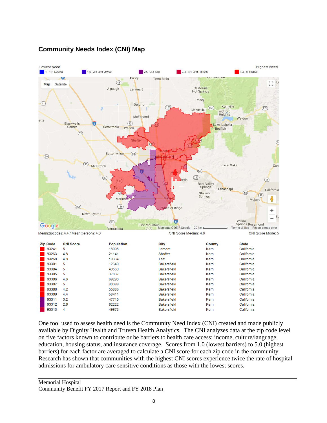#### **Community Needs Index (CNI) Map**



One tool used to assess health need is the Community Need Index (CNI) created and made publicly available by Dignity Health and Truven Health Analytics. The CNI analyzes data at the zip code level on five factors known to contribute or be barriers to health care access: income, culture/language, education, housing status, and insurance coverage. Scores from 1.0 (lowest barriers) to 5.0 (highest barriers) for each factor are averaged to calculate a CNI score for each zip code in the community. Research has shown that communities with the highest CNI scores experience twice the rate of hospital admissions for ambulatory care sensitive conditions as those with the lowest scores.

**Bakersfield** 

**Bakersfield** 

**Bakersfield** 

**Bakersfield** 

Bakersfield

Kern

Kern

Kern

Kern

Kern

California

California

California

California

California

55886

58411

47715

62222

49673

93308

93309

93311

93312

93313

 $4.2$ 

 $4.4$ 

 $3.2$ 

 $2.6$ 

 $\overline{4}$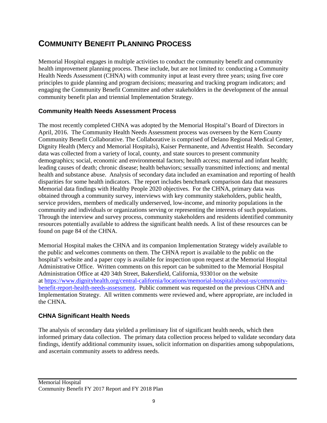### **COMMUNITY BENEFIT PLANNING PROCESS**

Memorial Hospital engages in multiple activities to conduct the community benefit and community health improvement planning process. These include, but are not limited to: conducting a Community Health Needs Assessment (CHNA) with community input at least every three years; using five core principles to guide planning and program decisions; measuring and tracking program indicators; and engaging the Community Benefit Committee and other stakeholders in the development of the annual community benefit plan and triennial Implementation Strategy.

#### **Community Health Needs Assessment Process**

The most recently completed CHNA was adopted by the Memorial Hospital's Board of Directors in April, 2016. The Community Health Needs Assessment process was overseen by the Kern County Community Benefit Collaborative. The Collaborative is comprised of Delano Regional Medical Center, Dignity Health (Mercy and Memorial Hospitals), Kaiser Permanente, and Adventist Health. Secondary data was collected from a variety of local, county, and state sources to present community demographics; social, economic and environmental factors; health access; maternal and infant health; leading causes of death; chronic disease; health behaviors; sexually transmitted infections; and mental health and substance abuse. Analysis of secondary data included an examination and reporting of health disparities for some health indicators. The report includes benchmark comparison data that measures Memorial data findings with Healthy People 2020 objectives. For the CHNA, primary data was obtained through a community survey, interviews with key community stakeholders, public health, service providers, members of medically underserved, low-income, and minority populations in the community and individuals or organizations serving or representing the interests of such populations. Through the interview and survey process, community stakeholders and residents identified community resources potentially available to address the significant health needs. A list of these resources can be found on page 84 of the CHNA.

Memorial Hospital makes the CHNA and its companion Implementation Strategy widely available to the public and welcomes comments on them. The CHNA report is available to the public on the hospital's website and a paper copy is available for inspection upon request at the Memorial Hospital Administrative Office. Written comments on this report can be submitted to the Memorial Hospital Administration Office at 420 34th Street, Bakersfield, California, 93301or on the website at [https://www.dignityhealth.org/central-california/locations/memorial-hospital/about-us/community](https://www.dignityhealth.org/central-california/locations/memorial-hospital/about-us/community-benefit-report-health-needs-assessment)[benefit-report-health-needs-assessment.](https://www.dignityhealth.org/central-california/locations/memorial-hospital/about-us/community-benefit-report-health-needs-assessment) Public comment was requested on the previous CHNA and Implementation Strategy. All written comments were reviewed and, where appropriate, are included in the CHNA.

#### **CHNA Significant Health Needs**

The analysis of secondary data yielded a preliminary list of significant health needs, which then informed primary data collection. The primary data collection process helped to validate secondary data findings, identify additional community issues, solicit information on disparities among subpopulations, and ascertain community assets to address needs.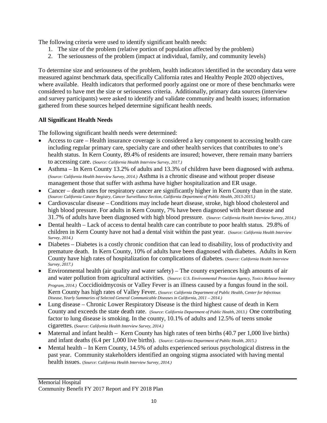The following criteria were used to identify significant health needs:

- 1. The size of the problem (relative portion of population affected by the problem)
- 2. The seriousness of the problem (impact at individual, family, and community levels)

To determine size and seriousness of the problem, health indicators identified in the secondary data were measured against benchmark data, specifically California rates and Healthy People 2020 objectives, where available. Health indicators that performed poorly against one or more of these benchmarks were considered to have met the size or seriousness criteria. Additionally, primary data sources (interview and survey participants) were asked to identify and validate community and health issues; information gathered from these sources helped determine significant health needs.

#### **All Significant Health Needs**

The following significant health needs were determined:

- Access to care Health insurance coverage is considered a key component to accessing health care including regular primary care, specialty care and other health services that contributes to one's health status. In Kern County, 89.4% of residents are insured; however, there remain many barriers to accessing care. (*Source: California Health Interview Survey, 2017.)*
- Asthma In Kern County 13.2% of adults and 13.3% of children have been diagnosed with asthma. (*Source: California Health Interview Survey, 2014.)* Asthma is a chronic disease and without proper disease management those that suffer with asthma have higher hospitalization and ER usage.
- Cancer death rates for respiratory cancer are significantly higher in Kern County than in the state. (*Source: California Cancer Registry, Cancer Surveillance Section, California Department of Public Health, 2013-2015.)*
- Cardiovascular disease Conditions may include heart disease, stroke, high blood cholesterol and high blood pressure. For adults in Kern County, 7% have been diagnosed with heart disease and 31.7% of adults have been diagnosed with high blood pressure. (*Source: California Health Interview Survey, 2014.)*
- Dental health Lack of access to dental health care can contribute to poor health status. 29.8% of children in Kern County have not had a dental visit within the past year. (*Source: California Health Interview Survey, 2014.)*
- Diabetes Diabetes is a costly chronic condition that can lead to disability, loss of productivity and premature death. In Kern County, 10% of adults have been diagnosed with diabetes. Adults in Kern County have high rates of hospitalization for complications of diabetes. (*Source: California Health Interview Survey, 2017.)*
- Environmental health (air quality and water safety) The county experiences high amounts of air and water pollution from agricultural activities. (*Source: U.S. Environmental Protection Agency, Toxics Release Inventory Program, 2014.)* Coccidioidmycosis or Valley Fever is an illness caused by a fungus found in the soil. Kern County has high rates of Valley Fever. (*Source: California Department of Public Health, Center for Infectious Disease, Yearly Summaries of Selected General Communicable Diseases in California, 2011 – 2014.)*
- Lung disease Chronic Lower Respiratory Disease is the third highest cause of death in Kern County and exceeds the state death rate. (*Source: California Department of Public Health, 2013.)* One contributing factor to lung disease is smoking. In the county, 10.1% of adults and 12.5% of teens smoke cigarettes. (*Source: California Health Interview Survey, 2014.)*
- Maternal and infant health Kern County has high rates of teen births (40.7 per 1,000 live births) and infant deaths (6.4 per 1,000 live births). (*Source: California Department of Public Health, 2015.)*
- Mental health In Kern County, 14.5% of adults experienced serious psychological distress in the past year. Community stakeholders identified an ongoing stigma associated with having mental health issues. (*Source: California Health Interview Survey, 2014.)*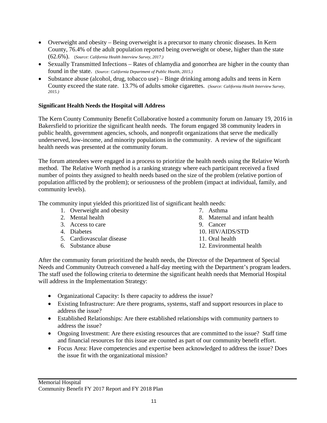- Overweight and obesity Being overweight is a precursor to many chronic diseases. In Kern County, 76.4% of the adult population reported being overweight or obese, higher than the state (62.6%). (*Source: California Health Interview Survey, 2017.)*
- Sexually Transmitted Infections Rates of chlamydia and gonorrhea are higher in the county than found in the state. (*Source: California Department of Public Health, 2015.)*
- Substance abuse (alcohol, drug, tobacco use) Binge drinking among adults and teens in Kern County exceed the state rate. 13.7% of adults smoke cigarettes. (*Source: California Health Interview Survey, 2015.)*

#### **Significant Health Needs the Hospital will Address**

The Kern County Community Benefit Collaborative hosted a community forum on January 19, 2016 in Bakersfield to prioritize the significant health needs. The forum engaged 38 community leaders in public health, government agencies, schools, and nonprofit organizations that serve the medically underserved, low-income, and minority populations in the community. A review of the significant health needs was presented at the community forum.

The forum attendees were engaged in a process to prioritize the health needs using the Relative Worth method. The Relative Worth method is a ranking strategy where each participant received a fixed number of points they assigned to health needs based on the size of the problem (relative portion of population afflicted by the problem); or seriousness of the problem (impact at individual, family, and community levels).

The community input yielded this prioritized list of significant health needs:

- 1. Overweight and obesity
- 2. Mental health
- 3. Access to care
- 4. Diabetes
- 5. Cardiovascular disease
- 6. Substance abuse
- 7. Asthma
- 8. Maternal and infant health
- 9. Cancer
- 10. HIV/AIDS/STD
- 11. Oral health
- 12. Environmental health

After the community forum prioritized the health needs, the Director of the Department of Special Needs and Community Outreach convened a half-day meeting with the Department's program leaders. The staff used the following criteria to determine the significant health needs that Memorial Hospital will address in the Implementation Strategy:

- Organizational Capacity: Is there capacity to address the issue?
- Existing Infrastructure: Are there programs, systems, staff and support resources in place to address the issue?
- Established Relationships: Are there established relationships with community partners to address the issue?
- Ongoing Investment: Are there existing resources that are committed to the issue? Staff time and financial resources for this issue are counted as part of our community benefit effort.
- Focus Area: Have competencies and expertise been acknowledged to address the issue? Does the issue fit with the organizational mission?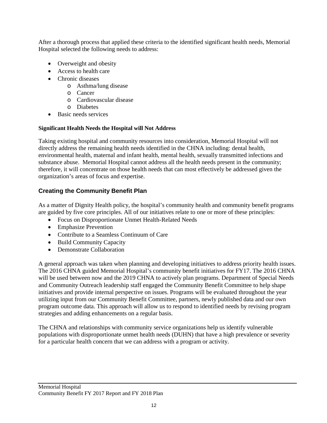After a thorough process that applied these criteria to the identified significant health needs, Memorial Hospital selected the following needs to address:

- Overweight and obesity
- Access to health care
- Chronic diseases
	- o Asthma/lung disease
	- o Cancer
	- o Cardiovascular disease
	- o Diabetes
- Basic needs services

#### **Significant Health Needs the Hospital will Not Address**

Taking existing hospital and community resources into consideration, Memorial Hospital will not directly address the remaining health needs identified in the CHNA including: dental health, environmental health, maternal and infant health, mental health, sexually transmitted infections and substance abuse. Memorial Hospital cannot address all the health needs present in the community; therefore, it will concentrate on those health needs that can most effectively be addressed given the organization's areas of focus and expertise.

#### **Creating the Community Benefit Plan**

As a matter of Dignity Health policy, the hospital's community health and community benefit programs are guided by five core principles. All of our initiatives relate to one or more of these principles:

- Focus on Disproportionate Unmet Health-Related Needs
- Emphasize Prevention
- Contribute to a Seamless Continuum of Care
- Build Community Capacity
- Demonstrate Collaboration

A general approach was taken when planning and developing initiatives to address priority health issues. The 2016 CHNA guided Memorial Hospital's community benefit initiatives for FY17. The 2016 CHNA will be used between now and the 2019 CHNA to actively plan programs. Department of Special Needs and Community Outreach leadership staff engaged the Community Benefit Committee to help shape initiatives and provide internal perspective on issues. Programs will be evaluated throughout the year utilizing input from our Community Benefit Committee, partners, newly published data and our own program outcome data. This approach will allow us to respond to identified needs by revising program strategies and adding enhancements on a regular basis.

The CHNA and relationships with community service organizations help us identify vulnerable populations with disproportionate unmet health needs (DUHN) that have a high prevalence or severity for a particular health concern that we can address with a program or activity.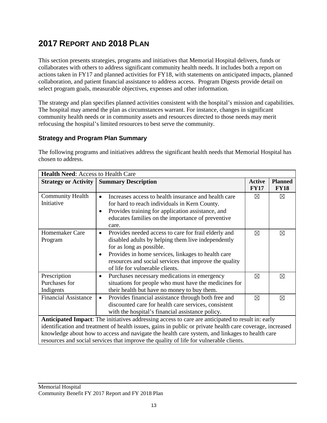### **2017 REPORT AND 2018 PLAN**

This section presents strategies, programs and initiatives that Memorial Hospital delivers, funds or collaborates with others to address significant community health needs. It includes both a report on actions taken in FY17 and planned activities for FY18, with statements on anticipated impacts, planned collaboration, and patient financial assistance to address access. Program Digests provide detail on select program goals, measurable objectives, expenses and other information.

The strategy and plan specifies planned activities consistent with the hospital's mission and capabilities. The hospital may amend the plan as circumstances warrant. For instance, changes in significant community health needs or in community assets and resources directed to those needs may merit refocusing the hospital's limited resources to best serve the community.

#### **Strategy and Program Plan Summary**

The following programs and initiatives address the significant health needs that Memorial Hospital has chosen to address.

| <b>Health Need: Access to Health Care</b>                                                                 |                                                                   |                              |                               |
|-----------------------------------------------------------------------------------------------------------|-------------------------------------------------------------------|------------------------------|-------------------------------|
| <b>Strategy or Activity</b>                                                                               | <b>Summary Description</b>                                        | <b>Active</b><br><b>FY17</b> | <b>Planned</b><br><b>FY18</b> |
| <b>Community Health</b>                                                                                   | Increases access to health insurance and health care              | $\boxtimes$                  | $\boxtimes$                   |
| Initiative                                                                                                | for hard to reach individuals in Kern County.                     |                              |                               |
|                                                                                                           | Provides training for application assistance, and<br>$\bullet$    |                              |                               |
|                                                                                                           | educates families on the importance of preventive                 |                              |                               |
|                                                                                                           | care.                                                             |                              |                               |
| Homemaker Care                                                                                            | Provides needed access to care for frail elderly and<br>$\bullet$ | $\boxtimes$                  | $\boxtimes$                   |
| Program                                                                                                   | disabled adults by helping them live independently                |                              |                               |
|                                                                                                           | for as long as possible.                                          |                              |                               |
|                                                                                                           | Provides in home services, linkages to health care<br>٠           |                              |                               |
|                                                                                                           | resources and social services that improve the quality            |                              |                               |
|                                                                                                           | of life for vulnerable clients.                                   |                              |                               |
| Prescription                                                                                              | Purchases necessary medications in emergency<br>$\bullet$         | $\boxtimes$                  | ⊠                             |
| Purchases for                                                                                             | situations for people who must have the medicines for             |                              |                               |
| Indigents                                                                                                 | their health but have no money to buy them.                       |                              |                               |
| <b>Financial Assistance</b>                                                                               | Provides financial assistance through both free and<br>$\bullet$  | $\boxtimes$                  | $\boxtimes$                   |
|                                                                                                           | discounted care for health care services, consistent              |                              |                               |
|                                                                                                           | with the hospital's financial assistance policy.                  |                              |                               |
| Anticipated Impact: The initiatives addressing access to care are anticipated to result in: early         |                                                                   |                              |                               |
| identification and treatment of health issues, gains in public or private health care coverage, increased |                                                                   |                              |                               |
| knowledge about how to access and navigate the health care system, and linkages to health care            |                                                                   |                              |                               |
| resources and social services that improve the quality of life for vulnerable clients.                    |                                                                   |                              |                               |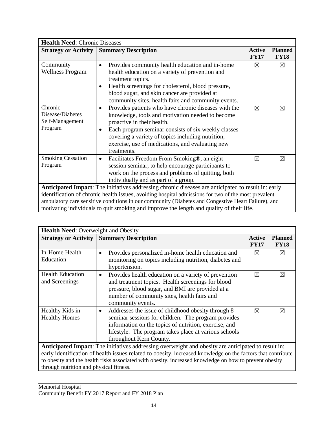| <b>Health Need: Chronic Diseases</b>                                                                |                                                                      |                              |                               |
|-----------------------------------------------------------------------------------------------------|----------------------------------------------------------------------|------------------------------|-------------------------------|
| <b>Strategy or Activity</b>                                                                         | <b>Summary Description</b>                                           | <b>Active</b><br><b>FY17</b> | <b>Planned</b><br><b>FY18</b> |
| Community                                                                                           | Provides community health education and in-home<br>$\bullet$         | ⊠                            | $\boxtimes$                   |
| <b>Wellness Program</b>                                                                             | health education on a variety of prevention and<br>treatment topics. |                              |                               |
|                                                                                                     | Health screenings for cholesterol, blood pressure,<br>٠              |                              |                               |
|                                                                                                     | blood sugar, and skin cancer are provided at                         |                              |                               |
|                                                                                                     | community sites, health fairs and community events.                  |                              |                               |
| Chronic                                                                                             | Provides patients who have chronic diseases with the<br>$\bullet$    | $\boxtimes$                  | $\boxtimes$                   |
| Disease/Diabetes                                                                                    | knowledge, tools and motivation needed to become                     |                              |                               |
| Self-Management                                                                                     | proactive in their health.                                           |                              |                               |
| Program                                                                                             | Each program seminar consists of six weekly classes<br>$\bullet$     |                              |                               |
|                                                                                                     | covering a variety of topics including nutrition,                    |                              |                               |
|                                                                                                     | exercise, use of medications, and evaluating new                     |                              |                               |
|                                                                                                     | treatments.                                                          |                              |                               |
| <b>Smoking Cessation</b>                                                                            | Facilitates Freedom From Smoking®, an eight<br>٠                     | $\boxtimes$                  | $\boxtimes$                   |
| Program                                                                                             | session seminar, to help encourage participants to                   |                              |                               |
|                                                                                                     | work on the process and problems of quitting, both                   |                              |                               |
|                                                                                                     | individually and as part of a group.                                 |                              |                               |
| Anticipated Impact: The initiatives addressing chronic diseases are anticipated to result in: early |                                                                      |                              |                               |
| identification of chronic health issues, avoiding hospital admissions for two of the most prevalent |                                                                      |                              |                               |
| ambulatory care sensitive conditions in our community (Diabetes and Congestive Heart Failure), and  |                                                                      |                              |                               |
| motivating individuals to quit smoking and improve the length and quality of their life.            |                                                                      |                              |                               |

| <b>Health Need:</b> Overweight and Obesity                                                                   |                                                                                                                                                                                                                                                                     |                              |                               |
|--------------------------------------------------------------------------------------------------------------|---------------------------------------------------------------------------------------------------------------------------------------------------------------------------------------------------------------------------------------------------------------------|------------------------------|-------------------------------|
| <b>Strategy or Activity</b>                                                                                  | <b>Summary Description</b>                                                                                                                                                                                                                                          | <b>Active</b><br><b>FY17</b> | <b>Planned</b><br><b>FY18</b> |
| In-Home Health<br>Education                                                                                  | Provides personalized in-home health education and<br>$\bullet$<br>monitoring on topics including nutrition, diabetes and<br>hypertension.                                                                                                                          | ⊠                            | $\boxtimes$                   |
| <b>Health Education</b><br>and Screenings                                                                    | Provides health education on a variety of prevention<br>$\bullet$<br>and treatment topics. Health screenings for blood<br>pressure, blood sugar, and BMI are provided at a<br>number of community sites, health fairs and<br>community events.                      | ⊠                            | ⊠                             |
| Healthy Kids in<br><b>Healthy Homes</b>                                                                      | Addresses the issue of childhood obesity through 8<br>$\bullet$<br>seminar sessions for children. The program provides<br>information on the topics of nutrition, exercise, and<br>lifestyle. The program takes place at various schools<br>throughout Kern County. | ⊠                            | ⊠                             |
| Anticipated Impact: The initiatives addressing overweight and obesity are anticipated to result in:          |                                                                                                                                                                                                                                                                     |                              |                               |
| early identification of health issues related to obesity, increased knowledge on the factors that contribute |                                                                                                                                                                                                                                                                     |                              |                               |
| to obesity and the health risks associated with obesity, increased knowledge on how to prevent obesity       |                                                                                                                                                                                                                                                                     |                              |                               |
| through nutrition and physical fitness.                                                                      |                                                                                                                                                                                                                                                                     |                              |                               |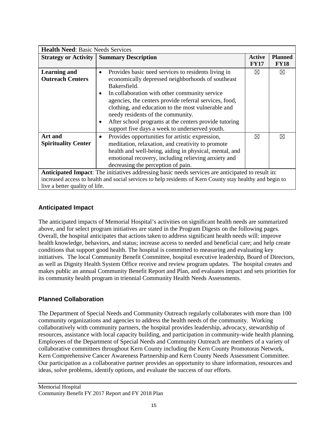| <b>Health Need: Basic Needs Services</b>       |                                                                                                                                                                                                                                                                                                                                                                                                                                                                          |                       |                               |
|------------------------------------------------|--------------------------------------------------------------------------------------------------------------------------------------------------------------------------------------------------------------------------------------------------------------------------------------------------------------------------------------------------------------------------------------------------------------------------------------------------------------------------|-----------------------|-------------------------------|
|                                                | <b>Strategy or Activity   Summary Description</b>                                                                                                                                                                                                                                                                                                                                                                                                                        | Active<br><b>FY17</b> | <b>Planned</b><br><b>FY18</b> |
| <b>Learning and</b><br><b>Outreach Centers</b> | Provides basic need services to residents living in<br>$\bullet$<br>economically depressed neighborhoods of southeast<br>Bakersfield.<br>In collaboration with other community service<br>٠<br>agencies, the centers provide referral services, food,<br>clothing, and education to the most vulnerable and<br>needy residents of the community.<br>After school programs at the centers provide tutoring<br>$\bullet$<br>support five days a week to underserved youth. | $\boxtimes$           | $\boxtimes$                   |
| Art and<br><b>Spirituality Center</b>          | Provides opportunities for artistic expression,<br>$\bullet$<br>meditation, relaxation, and creativity to promote<br>health and well-being, aiding in physical, mental, and<br>emotional recovery, including relieving anxiety and<br>decreasing the perception of pain.                                                                                                                                                                                                 | ⊠                     | ⊠                             |
| live a better quality of life.                 | Anticipated Impact: The initiatives addressing basic needs services are anticipated to result in:<br>increased access to health and social services to help residents of Kern County stay healthy and begin to                                                                                                                                                                                                                                                           |                       |                               |

#### **Anticipated Impact**

The anticipated impacts of Memorial Hospital's activities on significant health needs are summarized above, and for select program initiatives are stated in the Program Digests on the following pages. Overall, the hospital anticipates that actions taken to address significant health needs will: improve health knowledge, behaviors, and status; increase access to needed and beneficial care; and help create conditions that support good health. The hospital is committed to measuring and evaluating key initiatives. The local Community Benefit Committee, hospital executive leadership, Board of Directors, as well as Dignity Health System Office receive and review program updates. The hospital creates and makes public an annual Community Benefit Report and Plan, and evaluates impact and sets priorities for its community health program in triennial Community Health Needs Assessments.

#### **Planned Collaboration**

The Department of Special Needs and Community Outreach regularly collaborates with more than 100 community organizations and agencies to address the health needs of the community. Working collaboratively with community partners, the hospital provides leadership, advocacy, stewardship of resources, assistance with local capacity building, and participation in community-wide health planning. Employees of the Department of Special Needs and Community Outreach are members of a variety of collaborative committees throughout Kern County including the Kern County Promotoras Network, Kern Comprehensive Cancer Awareness Partnership and Kern County Needs Assessment Committee. Our participation as a collaborative partner provides an opportunity to share information, resources and ideas, solve problems, identify options, and evaluate the success of our efforts.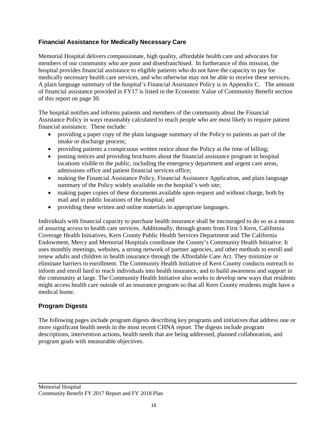#### **Financial Assistance for Medically Necessary Care**

Memorial Hospital delivers compassionate, high quality, affordable health care and advocates for members of our community who are poor and disenfranchised. In furtherance of this mission, the hospital provides financial assistance to eligible patients who do not have the capacity to pay for medically necessary health care services, and who otherwise may not be able to receive these services. A plain language summary of the hospital's Financial Assistance Policy is in Appendix C. The amount of financial assistance provided in FY17 is listed in the Economic Value of Community Benefit section of this report on page 30.

The hospital notifies and informs patients and members of the community about the Financial Assistance Policy in ways reasonably calculated to reach people who are most likely to require patient financial assistance. These include:

- providing a paper copy of the plain language summary of the Policy to patients as part of the intake or discharge process;
- providing patients a conspicuous written notice about the Policy at the time of billing;
- posting notices and providing brochures about the financial assistance program in hospital locations visible to the public, including the emergency department and urgent care areas, admissions office and patient financial services office;
- making the Financial Assistance Policy, Financial Assistance Application, and plain language summary of the Policy widely available on the hospital's web site;
- making paper copies of these documents available upon request and without charge, both by mail and in public locations of the hospital; and
- providing these written and online materials in appropriate languages.

Individuals with financial capacity to purchase health insurance shall be encouraged to do so as a means of assuring access to health care services. Additionally, through grants from First 5 Kern, California Coverage Health Initiatives, Kern County Public Health Services Department and The California Endowment, Mercy and Memorial Hospitals coordinate the County's Community Health Initiative. It uses monthly meetings, websites, a strong network of partner agencies, and other methods to enroll and renew adults and children in health insurance through the Affordable Care Act. They minimize or eliminate barriers to enrollment. The Community Health Initiative of Kern County conducts outreach to inform and enroll hard to reach individuals into health insurance, and to build awareness and support in the community at large. The Community Health Initiative also works to develop new ways that residents might access health care outside of an insurance program so that all Kern County residents might have a medical home.

#### **Program Digests**

The following pages include program digests describing key programs and initiatives that address one or more significant health needs in the most recent CHNA report. The digests include program descriptions, intervention actions, health needs that are being addressed, planned collaboration, and program goals with measurable objectives.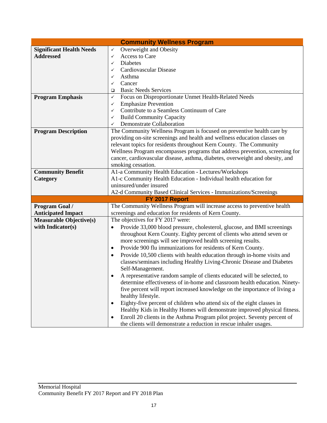|                                 | <b>Community Wellness Program</b>                                                          |
|---------------------------------|--------------------------------------------------------------------------------------------|
| <b>Significant Health Needs</b> | Overweight and Obesity<br>✓                                                                |
| <b>Addressed</b>                | Access to Care<br>✓                                                                        |
|                                 | <b>Diabetes</b><br>✓                                                                       |
|                                 | Cardiovascular Disease<br>✓                                                                |
|                                 | Asthma<br>✓                                                                                |
|                                 | Cancer<br>✓                                                                                |
|                                 | <b>Basic Needs Services</b><br>$\Box$                                                      |
| <b>Program Emphasis</b>         | Focus on Disproportionate Unmet Health-Related Needs<br>✓                                  |
|                                 | <b>Emphasize Prevention</b><br>✓                                                           |
|                                 | Contribute to a Seamless Continuum of Care<br>✓                                            |
|                                 | <b>Build Community Capacity</b><br>✓                                                       |
|                                 | Demonstrate Collaboration<br>✓                                                             |
| <b>Program Description</b>      | The Community Wellness Program is focused on preventive health care by                     |
|                                 | providing on-site screenings and health and wellness education classes on                  |
|                                 | relevant topics for residents throughout Kern County. The Community                        |
|                                 | Wellness Program encompasses programs that address prevention, screening for               |
|                                 | cancer, cardiovascular disease, asthma, diabetes, overweight and obesity, and              |
|                                 | smoking cessation.                                                                         |
| <b>Community Benefit</b>        | A1-a Community Health Education - Lectures/Workshops                                       |
| Category                        | A1-c Community Health Education - Individual health education for                          |
|                                 | uninsured/under insured                                                                    |
|                                 | A2-d Community Based Clinical Services - Immunizations/Screenings                          |
|                                 | FY 2017 Report                                                                             |
| Program Goal /                  | The Community Wellness Program will increase access to preventive health                   |
| <b>Anticipated Impact</b>       | screenings and education for residents of Kern County.                                     |
| <b>Measurable Objective(s)</b>  | The objectives for FY 2017 were:                                                           |
| with Indicator(s)               | Provide 33,000 blood pressure, cholesterol, glucose, and BMI screenings                    |
|                                 | throughout Kern County. Eighty percent of clients who attend seven or                      |
|                                 | more screenings will see improved health screening results.                                |
|                                 | Provide 900 flu immunizations for residents of Kern County.<br>$\bullet$                   |
|                                 | Provide 10,500 clients with health education through in-home visits and<br>$\bullet$       |
|                                 | classes/seminars including Healthy Living-Chronic Disease and Diabetes<br>Self-Management. |
|                                 | A representative random sample of clients educated will be selected, to                    |
|                                 | determine effectiveness of in-home and classroom health education. Ninety-                 |
|                                 | five percent will report increased knowledge on the importance of living a                 |
|                                 | healthy lifestyle.                                                                         |
|                                 | Eighty-five percent of children who attend six of the eight classes in<br>$\bullet$        |
|                                 | Healthy Kids in Healthy Homes will demonstrate improved physical fitness.                  |
|                                 | Enroll 20 clients in the Asthma Program pilot project. Seventy percent of<br>٠             |
|                                 | the clients will demonstrate a reduction in rescue inhaler usages.                         |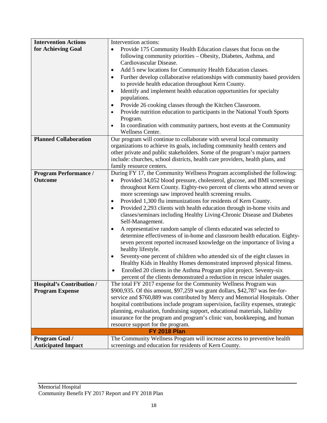| <b>Intervention Actions</b>                                | Intervention actions:                                                                                                                         |
|------------------------------------------------------------|-----------------------------------------------------------------------------------------------------------------------------------------------|
| for Achieving Goal                                         | Provide 175 Community Health Education classes that focus on the<br>$\bullet$                                                                 |
|                                                            | following community priorities - Obesity, Diabetes, Asthma, and                                                                               |
|                                                            | Cardiovascular Disease.                                                                                                                       |
|                                                            | Add 5 new locations for Community Health Education classes.<br>٠                                                                              |
|                                                            | Further develop collaborative relationships with community based providers<br>$\bullet$                                                       |
|                                                            | to provide health education throughout Kern County.                                                                                           |
|                                                            | Identify and implement health education opportunities for specialty<br>$\bullet$                                                              |
|                                                            | populations.                                                                                                                                  |
|                                                            | Provide 26 cooking classes through the Kitchen Classroom.                                                                                     |
|                                                            | Provide nutrition education to participants in the National Youth Sports                                                                      |
|                                                            | Program.                                                                                                                                      |
|                                                            | In coordination with community partners, host events at the Community<br>$\bullet$                                                            |
| <b>Planned Collaboration</b>                               | Wellness Center.<br>Our program will continue to collaborate with several local community                                                     |
|                                                            | organizations to achieve its goals, including community health centers and                                                                    |
|                                                            | other private and public stakeholders. Some of the program's major partners                                                                   |
|                                                            | include: churches, school districts, health care providers, health plans, and                                                                 |
|                                                            | family resource centers.                                                                                                                      |
| <b>Program Performance /</b>                               | During FY 17, the Community Wellness Program accomplished the following:                                                                      |
| <b>Outcome</b>                                             | Provided 34,052 blood pressure, cholesterol, glucose, and BMI screenings<br>$\bullet$                                                         |
|                                                            | throughout Kern County. Eighty-two percent of clients who attend seven or                                                                     |
|                                                            | more screenings saw improved health screening results.                                                                                        |
|                                                            | Provided 1,300 flu immunizations for residents of Kern County.<br>$\bullet$                                                                   |
|                                                            | Provided 2,293 clients with health education through in-home visits and<br>$\bullet$                                                          |
|                                                            | classes/seminars including Healthy Living-Chronic Disease and Diabetes                                                                        |
|                                                            | Self-Management.                                                                                                                              |
|                                                            | A representative random sample of clients educated was selected to<br>$\bullet$                                                               |
|                                                            | determine effectiveness of in-home and classroom health education. Eighty-                                                                    |
|                                                            | seven percent reported increased knowledge on the importance of living a                                                                      |
|                                                            | healthy lifestyle.                                                                                                                            |
|                                                            | Seventy-one percent of children who attended six of the eight classes in<br>$\bullet$                                                         |
|                                                            | Healthy Kids in Healthy Homes demonstrated improved physical fitness.                                                                         |
|                                                            | Enrolled 20 clients in the Asthma Program pilot project. Seventy-six<br>$\bullet$                                                             |
|                                                            | percent of the clients demonstrated a reduction in rescue inhaler usages.<br>The total FY 2017 expense for the Community Wellness Program was |
| <b>Hospital's Contribution /</b><br><b>Program Expense</b> | \$900,935. Of this amount, \$97,259 was grant dollars, \$42,787 was fee-for-                                                                  |
|                                                            | service and \$760,889 was contributed by Mercy and Memorial Hospitals. Other                                                                  |
|                                                            | hospital contributions include program supervision, facility expenses, strategic                                                              |
|                                                            | planning, evaluation, fundraising support, educational materials, liability                                                                   |
|                                                            | insurance for the program and program's clinic van, bookkeeping, and human                                                                    |
|                                                            | resource support for the program.                                                                                                             |
|                                                            | <b>FY 2018 Plan</b>                                                                                                                           |
| <b>Program Goal /</b>                                      | The Community Wellness Program will increase access to preventive health                                                                      |
| <b>Anticipated Impact</b>                                  | screenings and education for residents of Kern County.                                                                                        |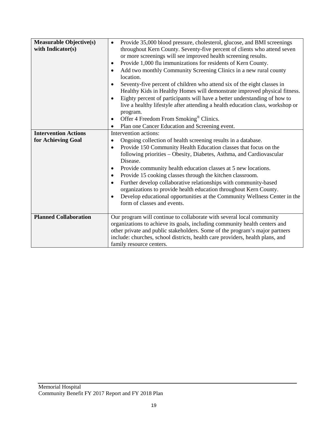| <b>Measurable Objective(s)</b><br>with Indicator(s) | Provide 35,000 blood pressure, cholesterol, glucose, and BMI screenings<br>$\bullet$<br>throughout Kern County. Seventy-five percent of clients who attend seven<br>or more screenings will see improved health screening results.<br>Provide 1,000 flu immunizations for residents of Kern County.<br>$\bullet$<br>Add two monthly Community Screening Clinics in a new rural county<br>$\bullet$<br>location.<br>Seventy-five percent of children who attend six of the eight classes in<br>Healthy Kids in Healthy Homes will demonstrate improved physical fitness.<br>Eighty percent of participants will have a better understanding of how to<br>$\bullet$<br>live a healthy lifestyle after attending a health education class, workshop or<br>program.<br>Offer 4 Freedom From Smoking <sup>®</sup> Clinics.<br>٠ |
|-----------------------------------------------------|----------------------------------------------------------------------------------------------------------------------------------------------------------------------------------------------------------------------------------------------------------------------------------------------------------------------------------------------------------------------------------------------------------------------------------------------------------------------------------------------------------------------------------------------------------------------------------------------------------------------------------------------------------------------------------------------------------------------------------------------------------------------------------------------------------------------------|
|                                                     | Plan one Cancer Education and Screening event.<br>$\bullet$                                                                                                                                                                                                                                                                                                                                                                                                                                                                                                                                                                                                                                                                                                                                                                |
| <b>Intervention Actions</b>                         | Intervention actions:                                                                                                                                                                                                                                                                                                                                                                                                                                                                                                                                                                                                                                                                                                                                                                                                      |
| for Achieving Goal                                  | Ongoing collection of health screening results in a database.<br>$\bullet$                                                                                                                                                                                                                                                                                                                                                                                                                                                                                                                                                                                                                                                                                                                                                 |
|                                                     | Provide 150 Community Health Education classes that focus on the<br>$\bullet$<br>following priorities - Obesity, Diabetes, Asthma, and Cardiovascular<br>Disease.                                                                                                                                                                                                                                                                                                                                                                                                                                                                                                                                                                                                                                                          |
|                                                     | Provide community health education classes at 5 new locations.<br>$\bullet$                                                                                                                                                                                                                                                                                                                                                                                                                                                                                                                                                                                                                                                                                                                                                |
|                                                     | Provide 15 cooking classes through the kitchen classroom.<br>$\bullet$                                                                                                                                                                                                                                                                                                                                                                                                                                                                                                                                                                                                                                                                                                                                                     |
|                                                     | Further develop collaborative relationships with community-based<br>$\bullet$                                                                                                                                                                                                                                                                                                                                                                                                                                                                                                                                                                                                                                                                                                                                              |
|                                                     | organizations to provide health education throughout Kern County.<br>Develop educational opportunities at the Community Wellness Center in the<br>$\bullet$<br>form of classes and events.                                                                                                                                                                                                                                                                                                                                                                                                                                                                                                                                                                                                                                 |
| <b>Planned Collaboration</b>                        | Our program will continue to collaborate with several local community                                                                                                                                                                                                                                                                                                                                                                                                                                                                                                                                                                                                                                                                                                                                                      |
|                                                     | organizations to achieve its goals, including community health centers and                                                                                                                                                                                                                                                                                                                                                                                                                                                                                                                                                                                                                                                                                                                                                 |
|                                                     | other private and public stakeholders. Some of the program's major partners                                                                                                                                                                                                                                                                                                                                                                                                                                                                                                                                                                                                                                                                                                                                                |
|                                                     | include: churches, school districts, health care providers, health plans, and                                                                                                                                                                                                                                                                                                                                                                                                                                                                                                                                                                                                                                                                                                                                              |
|                                                     | family resource centers.                                                                                                                                                                                                                                                                                                                                                                                                                                                                                                                                                                                                                                                                                                                                                                                                   |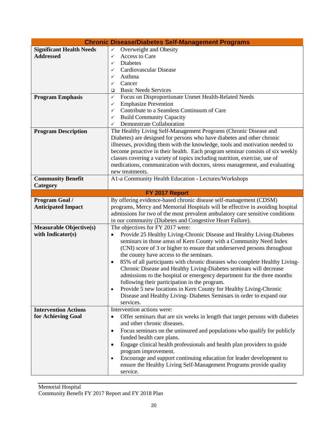|                                 | <b>Chronic Disease/Diabetes Self-Management Programs</b>                                   |
|---------------------------------|--------------------------------------------------------------------------------------------|
| <b>Significant Health Needs</b> | Overweight and Obesity<br>$\checkmark$                                                     |
| <b>Addressed</b>                | Access to Care<br>✓                                                                        |
|                                 | <b>Diabetes</b><br>✓                                                                       |
|                                 | Cardiovascular Disease<br>✓                                                                |
|                                 | Asthma<br>✓                                                                                |
|                                 | Cancer<br>✓                                                                                |
|                                 | <b>Basic Needs Services</b><br>❏                                                           |
| <b>Program Emphasis</b>         | Focus on Disproportionate Unmet Health-Related Needs<br>✓                                  |
|                                 | <b>Emphasize Prevention</b><br>✓                                                           |
|                                 | Contribute to a Seamless Continuum of Care<br>✓                                            |
|                                 | <b>Build Community Capacity</b><br>✓                                                       |
|                                 | Demonstrate Collaboration<br>✓                                                             |
| <b>Program Description</b>      | The Healthy Living Self-Management Programs (Chronic Disease and                           |
|                                 | Diabetes) are designed for persons who have diabetes and other chronic                     |
|                                 | illnesses, providing them with the knowledge, tools and motivation needed to               |
|                                 | become proactive in their health. Each program seminar consists of six weekly              |
|                                 | classes covering a variety of topics including nutrition, exercise, use of                 |
|                                 | medications, communication with doctors, stress management, and evaluating                 |
|                                 | new treatments.                                                                            |
| <b>Community Benefit</b>        | A1-a Community Health Education - Lectures/Workshops                                       |
| Category                        |                                                                                            |
|                                 | FY 2017 Report                                                                             |
| Program Goal /                  | By offering evidence-based chronic disease self-management (CDSM)                          |
| <b>Anticipated Impact</b>       | programs, Mercy and Memorial Hospitals will be effective in avoiding hospital              |
|                                 | admissions for two of the most prevalent ambulatory care sensitive conditions              |
|                                 | in our community (Diabetes and Congestive Heart Failure).                                  |
| <b>Measurable Objective(s)</b>  | The objectives for FY 2017 were:                                                           |
| with Indicator(s)               | Provide 25 Healthy Living-Chronic Disease and Healthy Living-Diabetes<br>$\bullet$         |
|                                 | seminars in those areas of Kern County with a Community Need Index                         |
|                                 | (CNI) score of 3 or higher to ensure that underserved persons throughout                   |
|                                 | the county have access to the seminars.                                                    |
|                                 | 85% of all participants with chronic diseases who complete Healthy Living-<br>٠            |
|                                 | Chronic Disease and Healthy Living-Diabetes seminars will decrease                         |
|                                 | admissions to the hospital or emergency department for the three months                    |
|                                 | following their participation in the program.                                              |
|                                 | Provide 5 new locations in Kern County for Healthy Living-Chronic<br>$\bullet$             |
|                                 | Disease and Healthy Living-Diabetes Seminars in order to expand our                        |
|                                 | services.                                                                                  |
| <b>Intervention Actions</b>     | Intervention actions were:                                                                 |
| for Achieving Goal              | Offer seminars that are six weeks in length that target persons with diabetes<br>$\bullet$ |
|                                 | and other chronic diseases.                                                                |
|                                 | Focus seminars on the uninsured and populations who qualify for publicly<br>٠              |
|                                 | funded health care plans.                                                                  |
|                                 | Engage clinical health professionals and health plan providers to guide<br>$\bullet$       |
|                                 | program improvement.                                                                       |
|                                 | Encourage and support continuing education for leader development to<br>$\bullet$          |
|                                 | ensure the Healthy Living Self-Management Programs provide quality                         |
|                                 | service.                                                                                   |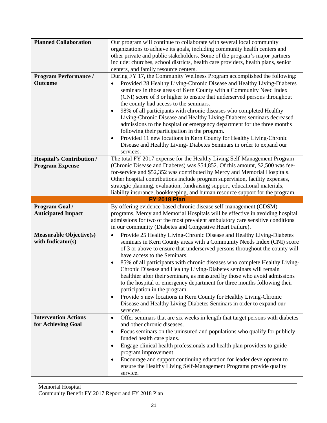| <b>Planned Collaboration</b><br><b>Program Performance /</b><br><b>Outcome</b> | Our program will continue to collaborate with several local community<br>organizations to achieve its goals, including community health centers and<br>other private and public stakeholders. Some of the program's major partners<br>include: churches, school districts, health care providers, health plans, senior<br>centers, and family resource centers.<br>During FY 17, the Community Wellness Program accomplished the following:<br>Provided 28 Healthy Living-Chronic Disease and Healthy Living-Diabetes<br>$\bullet$<br>seminars in those areas of Kern County with a Community Need Index<br>(CNI) score of 3 or higher to ensure that underserved persons throughout<br>the county had access to the seminars.                                                                             |
|--------------------------------------------------------------------------------|------------------------------------------------------------------------------------------------------------------------------------------------------------------------------------------------------------------------------------------------------------------------------------------------------------------------------------------------------------------------------------------------------------------------------------------------------------------------------------------------------------------------------------------------------------------------------------------------------------------------------------------------------------------------------------------------------------------------------------------------------------------------------------------------------------|
|                                                                                | 98% of all participants with chronic diseases who completed Healthy<br>$\bullet$<br>Living-Chronic Disease and Healthy Living-Diabetes seminars decreased<br>admissions to the hospital or emergency department for the three months<br>following their participation in the program.<br>Provided 11 new locations in Kern County for Healthy Living-Chronic<br>$\bullet$<br>Disease and Healthy Living-Diabetes Seminars in order to expand our<br>services.                                                                                                                                                                                                                                                                                                                                              |
| <b>Hospital's Contribution /</b><br><b>Program Expense</b>                     | The total FY 2017 expense for the Healthy Living Self-Management Program<br>(Chronic Disease and Diabetes) was \$54,852. Of this amount, \$2,500 was fee-<br>for-service and \$52,352 was contributed by Mercy and Memorial Hospitals.<br>Other hospital contributions include program supervision, facility expenses,<br>strategic planning, evaluation, fundraising support, educational materials,<br>liability insurance, bookkeeping, and human resource support for the program.                                                                                                                                                                                                                                                                                                                     |
|                                                                                | <b>FY 2018 Plan</b>                                                                                                                                                                                                                                                                                                                                                                                                                                                                                                                                                                                                                                                                                                                                                                                        |
| Program Goal /<br><b>Anticipated Impact</b>                                    | By offering evidence-based chronic disease self-management (CDSM)<br>programs, Mercy and Memorial Hospitals will be effective in avoiding hospital<br>admissions for two of the most prevalent ambulatory care sensitive conditions<br>in our community (Diabetes and Congestive Heart Failure).                                                                                                                                                                                                                                                                                                                                                                                                                                                                                                           |
| <b>Measurable Objective(s)</b><br>with Indicator(s)                            | Provide 25 Healthy Living-Chronic Disease and Healthy Living-Diabetes<br>$\bullet$<br>seminars in Kern County areas with a Community Needs Index (CNI) score<br>of 3 or above to ensure that underserved persons throughout the county will<br>have access to the Seminars.<br>85% of all participants with chronic diseases who complete Healthy Living-<br>$\bullet$<br>Chronic Disease and Healthy Living-Diabetes seminars will remain<br>healthier after their seminars, as measured by those who avoid admissions<br>to the hospital or emergency department for three months following their<br>participation in the program.<br>Provide 5 new locations in Kern County for Healthy Living-Chronic<br>$\bullet$<br>Disease and Healthy Living-Diabetes Seminars in order to expand our<br>services. |
| <b>Intervention Actions</b><br>for Achieving Goal                              | Offer seminars that are six weeks in length that target persons with diabetes<br>$\bullet$<br>and other chronic diseases.<br>Focus seminars on the uninsured and populations who qualify for publicly<br>$\bullet$<br>funded health care plans.<br>Engage clinical health professionals and health plan providers to guide<br>$\bullet$<br>program improvement.<br>Encourage and support continuing education for leader development to<br>$\bullet$<br>ensure the Healthy Living Self-Management Programs provide quality<br>service.                                                                                                                                                                                                                                                                     |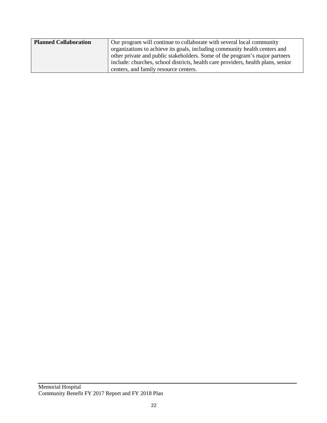| <b>Planned Collaboration</b> | Our program will continue to collaborate with several local community            |
|------------------------------|----------------------------------------------------------------------------------|
|                              | organizations to achieve its goals, including community health centers and       |
|                              | other private and public stakeholders. Some of the program's major partners      |
|                              | include: churches, school districts, health care providers, health plans, senior |
|                              | centers, and family resource centers.                                            |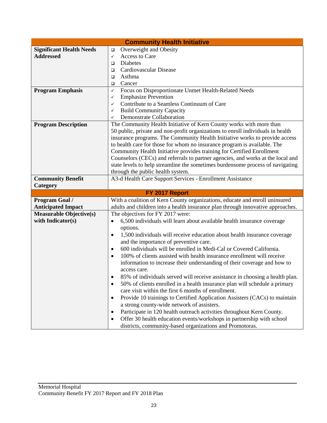|                                 | <b>Community Health Initiative</b>                                                                                                                                |
|---------------------------------|-------------------------------------------------------------------------------------------------------------------------------------------------------------------|
| <b>Significant Health Needs</b> | Overweight and Obesity<br>$\Box$                                                                                                                                  |
| <b>Addressed</b>                | Access to Care<br>✓                                                                                                                                               |
|                                 | Diabetes<br>$\Box$                                                                                                                                                |
|                                 | Cardiovascular Disease<br>□                                                                                                                                       |
|                                 | Asthma<br>$\Box$                                                                                                                                                  |
|                                 | Cancer<br>▫                                                                                                                                                       |
| <b>Program Emphasis</b>         | Focus on Disproportionate Unmet Health-Related Needs<br>✓                                                                                                         |
|                                 | <b>Emphasize Prevention</b><br>✓                                                                                                                                  |
|                                 | Contribute to a Seamless Continuum of Care<br>✓                                                                                                                   |
|                                 | <b>Build Community Capacity</b><br>✓                                                                                                                              |
|                                 | Demonstrate Collaboration<br>✓                                                                                                                                    |
| <b>Program Description</b>      | The Community Health Initiative of Kern County works with more than                                                                                               |
|                                 | 50 public, private and non-profit organizations to enroll individuals in health                                                                                   |
|                                 | insurance programs. The Community Health Initiative works to provide access                                                                                       |
|                                 | to health care for those for whom no insurance program is available. The                                                                                          |
|                                 | Community Health Initiative provides training for Certified Enrollment                                                                                            |
|                                 | Counselors (CECs) and referrals to partner agencies, and works at the local and<br>state levels to help streamline the sometimes burdensome process of navigating |
|                                 | through the public health system.                                                                                                                                 |
| <b>Community Benefit</b>        | A3-d Health Care Support Services - Enrollment Assistance                                                                                                         |
| Category                        |                                                                                                                                                                   |
|                                 | FY 2017 Report                                                                                                                                                    |
| Program Goal /                  | With a coalition of Kern County organizations, educate and enroll uninsured                                                                                       |
| <b>Anticipated Impact</b>       | adults and children into a health insurance plan through innovative approaches.                                                                                   |
| <b>Measurable Objective(s)</b>  | The objectives for FY 2017 were:                                                                                                                                  |
| with Indicator(s)               | 6,500 individuals will learn about available health insurance coverage<br>$\bullet$                                                                               |
|                                 | options.                                                                                                                                                          |
|                                 | 1,500 individuals will receive education about health insurance coverage<br>$\bullet$                                                                             |
|                                 | and the importance of preventive care.                                                                                                                            |
|                                 | 600 individuals will be enrolled in Medi-Cal or Covered California.<br>$\bullet$                                                                                  |
|                                 | 100% of clients assisted with health insurance enrollment will receive<br>$\bullet$                                                                               |
|                                 | information to increase their understanding of their coverage and how to                                                                                          |
|                                 | access care.                                                                                                                                                      |
|                                 | 85% of individuals served will receive assistance in choosing a health plan.                                                                                      |
|                                 | 50% of clients enrolled in a health insurance plan will schedule a primary<br>$\bullet$                                                                           |
|                                 | care visit within the first 6 months of enrollment.                                                                                                               |
|                                 | Provide 10 trainings to Certified Application Assisters (CACs) to maintain<br>٠                                                                                   |
|                                 | a strong county-wide network of assisters.                                                                                                                        |
|                                 | Participate in 120 health outreach activities throughout Kern County.<br>$\bullet$                                                                                |
|                                 | Offer 30 health education events/workshops in partnership with school<br>$\bullet$                                                                                |
|                                 | districts, community-based organizations and Promotoras.                                                                                                          |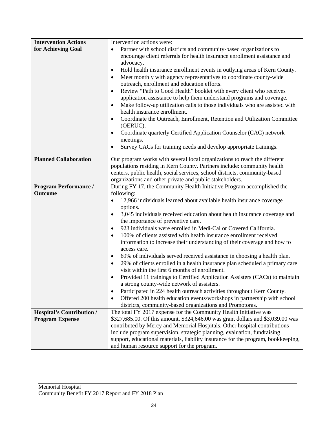| <b>Intervention Actions</b>      | Intervention actions were:                                                                                                    |  |  |  |  |  |  |
|----------------------------------|-------------------------------------------------------------------------------------------------------------------------------|--|--|--|--|--|--|
| for Achieving Goal               | Partner with school districts and community-based organizations to<br>$\bullet$                                               |  |  |  |  |  |  |
|                                  | encourage client referrals for health insurance enrollment assistance and                                                     |  |  |  |  |  |  |
|                                  | advocacy.                                                                                                                     |  |  |  |  |  |  |
|                                  | Hold health insurance enrollment events in outlying areas of Kern County.<br>$\bullet$                                        |  |  |  |  |  |  |
|                                  | Meet monthly with agency representatives to coordinate county-wide<br>$\bullet$                                               |  |  |  |  |  |  |
|                                  | outreach, enrollment and education efforts.                                                                                   |  |  |  |  |  |  |
|                                  | Review "Path to Good Health" booklet with every client who receives<br>$\bullet$                                              |  |  |  |  |  |  |
|                                  | application assistance to help them understand programs and coverage.                                                         |  |  |  |  |  |  |
|                                  | Make follow-up utilization calls to those individuals who are assisted with<br>$\bullet$<br>health insurance enrollment.      |  |  |  |  |  |  |
|                                  | Coordinate the Outreach, Enrollment, Retention and Utilization Committee<br>$\bullet$                                         |  |  |  |  |  |  |
|                                  | (OERUC).                                                                                                                      |  |  |  |  |  |  |
|                                  | Coordinate quarterly Certified Application Counselor (CAC) network<br>$\bullet$<br>meetings.                                  |  |  |  |  |  |  |
|                                  | Survey CACs for training needs and develop appropriate trainings.<br>$\bullet$                                                |  |  |  |  |  |  |
|                                  |                                                                                                                               |  |  |  |  |  |  |
| <b>Planned Collaboration</b>     | Our program works with several local organizations to reach the different                                                     |  |  |  |  |  |  |
|                                  | populations residing in Kern County. Partners include: community health                                                       |  |  |  |  |  |  |
|                                  | centers, public health, social services, school districts, community-based                                                    |  |  |  |  |  |  |
|                                  | organizations and other private and public stakeholders.                                                                      |  |  |  |  |  |  |
| <b>Program Performance /</b>     | During FY 17, the Community Health Initiative Program accomplished the                                                        |  |  |  |  |  |  |
| <b>Outcome</b>                   | following:                                                                                                                    |  |  |  |  |  |  |
|                                  | 12,966 individuals learned about available health insurance coverage<br>$\bullet$                                             |  |  |  |  |  |  |
|                                  | options.                                                                                                                      |  |  |  |  |  |  |
|                                  | 3,045 individuals received education about health insurance coverage and<br>$\bullet$<br>the importance of preventive care.   |  |  |  |  |  |  |
|                                  | 923 individuals were enrolled in Medi-Cal or Covered California.<br>$\bullet$                                                 |  |  |  |  |  |  |
|                                  | 100% of clients assisted with health insurance enrollment received<br>$\bullet$                                               |  |  |  |  |  |  |
|                                  | information to increase their understanding of their coverage and how to                                                      |  |  |  |  |  |  |
|                                  | access care.                                                                                                                  |  |  |  |  |  |  |
|                                  | 69% of individuals served received assistance in choosing a health plan.                                                      |  |  |  |  |  |  |
|                                  | 29% of clients enrolled in a health insurance plan scheduled a primary care                                                   |  |  |  |  |  |  |
|                                  | visit within the first 6 months of enrollment.                                                                                |  |  |  |  |  |  |
|                                  | Provided 11 trainings to Certified Application Assisters (CACs) to maintain                                                   |  |  |  |  |  |  |
|                                  | a strong county-wide network of assisters.                                                                                    |  |  |  |  |  |  |
|                                  | Participated in 224 health outreach activities throughout Kern County.<br>$\bullet$                                           |  |  |  |  |  |  |
|                                  | Offered 200 health education events/workshops in partnership with school<br>$\bullet$                                         |  |  |  |  |  |  |
| <b>Hospital's Contribution /</b> | districts, community-based organizations and Promotoras.<br>The total FY 2017 expense for the Community Health Initiative was |  |  |  |  |  |  |
|                                  | \$327,685.00. Of this amount, \$324,646.00 was grant dollars and \$3,039.00 was                                               |  |  |  |  |  |  |
| <b>Program Expense</b>           | contributed by Mercy and Memorial Hospitals. Other hospital contributions                                                     |  |  |  |  |  |  |
|                                  | include program supervision, strategic planning, evaluation, fundraising                                                      |  |  |  |  |  |  |
|                                  | support, educational materials, liability insurance for the program, bookkeeping,                                             |  |  |  |  |  |  |
|                                  | and human resource support for the program.                                                                                   |  |  |  |  |  |  |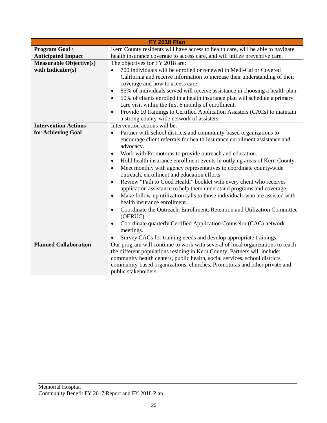| <b>FY 2018 Plan</b>            |                                                                                                                                |  |  |  |  |  |  |
|--------------------------------|--------------------------------------------------------------------------------------------------------------------------------|--|--|--|--|--|--|
| Program Goal /                 | Kern County residents will have access to health care, will be able to navigate                                                |  |  |  |  |  |  |
| <b>Anticipated Impact</b>      | health insurance coverage to access care, and will utilize preventive care.                                                    |  |  |  |  |  |  |
| <b>Measurable Objective(s)</b> | The objectives for FY 2018 are:                                                                                                |  |  |  |  |  |  |
| with Indicator(s)              | 700 individuals will be enrolled or renewed in Medi-Cal or Covered<br>$\bullet$                                                |  |  |  |  |  |  |
|                                | California and receive information to increase their understanding of their                                                    |  |  |  |  |  |  |
|                                | coverage and how to access care.                                                                                               |  |  |  |  |  |  |
|                                | 85% of individuals served will receive assistance in choosing a health plan.<br>$\bullet$                                      |  |  |  |  |  |  |
|                                | 50% of clients enrolled in a health insurance plan will schedule a primary<br>$\bullet$                                        |  |  |  |  |  |  |
|                                | care visit within the first 6 months of enrollment.<br>$\bullet$                                                               |  |  |  |  |  |  |
|                                | Provide 10 trainings to Certified Application Assisters (CACs) to maintain                                                     |  |  |  |  |  |  |
|                                | a strong county-wide network of assisters.                                                                                     |  |  |  |  |  |  |
| <b>Intervention Actions</b>    | Intervention actions will be:                                                                                                  |  |  |  |  |  |  |
| for Achieving Goal             | Partner with school districts and community-based organizations to<br>$\bullet$                                                |  |  |  |  |  |  |
|                                | encourage client referrals for health insurance enrollment assistance and                                                      |  |  |  |  |  |  |
|                                | advocacy.                                                                                                                      |  |  |  |  |  |  |
|                                | Work with Promotoras to provide outreach and education.<br>٠                                                                   |  |  |  |  |  |  |
|                                | Hold health insurance enrollment events in outlying areas of Kern County.<br>$\bullet$                                         |  |  |  |  |  |  |
|                                | Meet monthly with agency representatives to coordinate county-wide<br>$\bullet$<br>outreach, enrollment and education efforts. |  |  |  |  |  |  |
|                                | Review "Path to Good Health" booklet with every client who receives<br>$\bullet$                                               |  |  |  |  |  |  |
|                                | application assistance to help them understand programs and coverage.                                                          |  |  |  |  |  |  |
|                                | Make follow-up utilization calls to those individuals who are assisted with<br>$\bullet$                                       |  |  |  |  |  |  |
|                                | health insurance enrollment.                                                                                                   |  |  |  |  |  |  |
|                                | Coordinate the Outreach, Enrollment, Retention and Utilization Committee<br>$\bullet$                                          |  |  |  |  |  |  |
|                                | (OERUC).                                                                                                                       |  |  |  |  |  |  |
|                                | Coordinate quarterly Certified Application Counselor (CAC) network<br>$\bullet$                                                |  |  |  |  |  |  |
|                                | meetings.                                                                                                                      |  |  |  |  |  |  |
|                                | Survey CACs for training needs and develop appropriate trainings.                                                              |  |  |  |  |  |  |
| <b>Planned Collaboration</b>   | Our program will continue to work with several of local organizations to reach                                                 |  |  |  |  |  |  |
|                                | the different populations residing in Kern County. Partners will include:                                                      |  |  |  |  |  |  |
|                                | community health centers, public health, social services, school districts,                                                    |  |  |  |  |  |  |
|                                | community-based organizations, churches, Promotoras and other private and                                                      |  |  |  |  |  |  |
|                                | public stakeholders.                                                                                                           |  |  |  |  |  |  |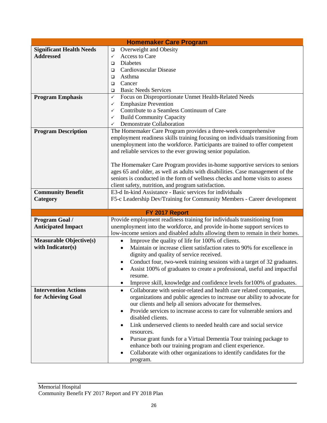| <b>Homemaker Care Program</b>   |                                                                                     |  |  |  |  |  |
|---------------------------------|-------------------------------------------------------------------------------------|--|--|--|--|--|
| <b>Significant Health Needs</b> | Overweight and Obesity<br>$\Box$                                                    |  |  |  |  |  |
| <b>Addressed</b>                | Access to Care<br>$\checkmark$                                                      |  |  |  |  |  |
|                                 | Diabetes<br>$\Box$                                                                  |  |  |  |  |  |
|                                 | Cardiovascular Disease<br>$\Box$                                                    |  |  |  |  |  |
|                                 | Asthma<br>$\Box$                                                                    |  |  |  |  |  |
|                                 | Cancer<br>$\Box$                                                                    |  |  |  |  |  |
|                                 | <b>Basic Needs Services</b><br>$\Box$                                               |  |  |  |  |  |
| <b>Program Emphasis</b>         | Focus on Disproportionate Unmet Health-Related Needs<br>$\checkmark$                |  |  |  |  |  |
|                                 | <b>Emphasize Prevention</b><br>✓                                                    |  |  |  |  |  |
|                                 | Contribute to a Seamless Continuum of Care<br>✓                                     |  |  |  |  |  |
|                                 | <b>Build Community Capacity</b><br>✓                                                |  |  |  |  |  |
|                                 | <b>Demonstrate Collaboration</b><br>✓                                               |  |  |  |  |  |
| <b>Program Description</b>      | The Homemaker Care Program provides a three-week comprehensive                      |  |  |  |  |  |
|                                 | employment readiness skills training focusing on individuals transitioning from     |  |  |  |  |  |
|                                 | unemployment into the workforce. Participants are trained to offer competent        |  |  |  |  |  |
|                                 | and reliable services to the ever growing senior population.                        |  |  |  |  |  |
|                                 |                                                                                     |  |  |  |  |  |
|                                 | The Homemaker Care Program provides in-home supportive services to seniors          |  |  |  |  |  |
|                                 | ages 65 and older, as well as adults with disabilities. Case management of the      |  |  |  |  |  |
|                                 | seniors is conducted in the form of wellness checks and home visits to assess       |  |  |  |  |  |
|                                 | client safety, nutrition, and program satisfaction.                                 |  |  |  |  |  |
| <b>Community Benefit</b>        | E3-d In-kind Assistance - Basic services for individuals                            |  |  |  |  |  |
| Category                        | F5-c Leadership Dev/Training for Community Members - Career development             |  |  |  |  |  |
| FY 2017 Report                  |                                                                                     |  |  |  |  |  |
| Program Goal /                  | Provide employment readiness training for individuals transitioning from            |  |  |  |  |  |
| <b>Anticipated Impact</b>       | unemployment into the workforce, and provide in-home support services to            |  |  |  |  |  |
|                                 | low-income seniors and disabled adults allowing them to remain in their homes.      |  |  |  |  |  |
| <b>Measurable Objective(s)</b>  | Improve the quality of life for 100% of clients.                                    |  |  |  |  |  |
| with Indicator(s)               | Maintain or increase client satisfaction rates to 90% for excellence in             |  |  |  |  |  |
|                                 | dignity and quality of service received.                                            |  |  |  |  |  |
|                                 | Conduct four, two-week training sessions with a target of 32 graduates.<br>٠        |  |  |  |  |  |
|                                 | Assist 100% of graduates to create a professional, useful and impactful             |  |  |  |  |  |
|                                 | resume.                                                                             |  |  |  |  |  |
|                                 | Improve skill, knowledge and confidence levels for 100% of graduates.<br>$\bullet$  |  |  |  |  |  |
| <b>Intervention Actions</b>     | Collaborate with senior-related and health care related companies,<br>$\bullet$     |  |  |  |  |  |
| for Achieving Goal              | organizations and public agencies to increase our ability to advocate for           |  |  |  |  |  |
|                                 | our clients and help all seniors advocate for themselves.                           |  |  |  |  |  |
|                                 | Provide services to increase access to care for vulnerable seniors and<br>$\bullet$ |  |  |  |  |  |
|                                 | disabled clients.                                                                   |  |  |  |  |  |
|                                 | Link underserved clients to needed health care and social service                   |  |  |  |  |  |
|                                 | $\bullet$                                                                           |  |  |  |  |  |
|                                 | resources.                                                                          |  |  |  |  |  |
|                                 | Pursue grant funds for a Virtual Dementia Tour training package to                  |  |  |  |  |  |
|                                 | enhance both our training program and client experience.                            |  |  |  |  |  |
|                                 | Collaborate with other organizations to identify candidates for the                 |  |  |  |  |  |
|                                 | program.                                                                            |  |  |  |  |  |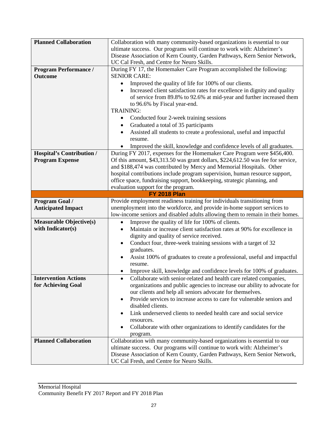| <b>Planned Collaboration</b>     | Collaboration with many community-based organizations is essential to our                                                                           |  |  |  |  |  |
|----------------------------------|-----------------------------------------------------------------------------------------------------------------------------------------------------|--|--|--|--|--|
|                                  | ultimate success. Our programs will continue to work with: Alzheimer's                                                                              |  |  |  |  |  |
|                                  | Disease Association of Kern County, Garden Pathways, Kern Senior Network,                                                                           |  |  |  |  |  |
|                                  | UC Cal Fresh, and Centre for Neuro Skills.                                                                                                          |  |  |  |  |  |
| <b>Program Performance /</b>     | During FY 17, the Homemaker Care Program accomplished the following:                                                                                |  |  |  |  |  |
| <b>Outcome</b>                   | <b>SENIOR CARE:</b>                                                                                                                                 |  |  |  |  |  |
|                                  | Improved the quality of life for 100% of our clients.                                                                                               |  |  |  |  |  |
|                                  |                                                                                                                                                     |  |  |  |  |  |
|                                  | Increased client satisfaction rates for excellence in dignity and quality<br>$\bullet$                                                              |  |  |  |  |  |
|                                  | of service from 89.8% to 92.6% at mid-year and further increased them                                                                               |  |  |  |  |  |
|                                  | to 96.6% by Fiscal year-end.                                                                                                                        |  |  |  |  |  |
|                                  | <b>TRAINING:</b>                                                                                                                                    |  |  |  |  |  |
|                                  | Conducted four 2-week training sessions                                                                                                             |  |  |  |  |  |
|                                  | Graduated a total of 35 participants                                                                                                                |  |  |  |  |  |
|                                  | Assisted all students to create a professional, useful and impactful<br>$\bullet$                                                                   |  |  |  |  |  |
|                                  | resume.                                                                                                                                             |  |  |  |  |  |
|                                  | Improved the skill, knowledge and confidence levels of all graduates.                                                                               |  |  |  |  |  |
| <b>Hospital's Contribution /</b> | During FY 2017, expenses for the Homemaker Care Program were \$456,400.                                                                             |  |  |  |  |  |
| <b>Program Expense</b>           | Of this amount, \$43,313.50 was grant dollars, \$224,612.50 was fee for service,                                                                    |  |  |  |  |  |
|                                  | and \$188,474 was contributed by Mercy and Memorial Hospitals. Other                                                                                |  |  |  |  |  |
|                                  | hospital contributions include program supervision, human resource support,                                                                         |  |  |  |  |  |
|                                  | office space, fundraising support, bookkeeping, strategic planning, and                                                                             |  |  |  |  |  |
|                                  | evaluation support for the program.                                                                                                                 |  |  |  |  |  |
| <b>FY 2018 Plan</b>              |                                                                                                                                                     |  |  |  |  |  |
| Program Goal /                   | Provide employment readiness training for individuals transitioning from                                                                            |  |  |  |  |  |
| <b>Anticipated Impact</b>        | unemployment into the workforce, and provide in-home support services to                                                                            |  |  |  |  |  |
|                                  | low-income seniors and disabled adults allowing them to remain in their homes.                                                                      |  |  |  |  |  |
| <b>Measurable Objective(s)</b>   | Improve the quality of life for 100% of clients.<br>$\bullet$                                                                                       |  |  |  |  |  |
| with Indicator(s)                | Maintain or increase client satisfaction rates at 90% for excellence in<br>$\bullet$                                                                |  |  |  |  |  |
|                                  | dignity and quality of service received.                                                                                                            |  |  |  |  |  |
|                                  | Conduct four, three-week training sessions with a target of 32                                                                                      |  |  |  |  |  |
|                                  | graduates.                                                                                                                                          |  |  |  |  |  |
|                                  | Assist 100% of graduates to create a professional, useful and impactful<br>٠                                                                        |  |  |  |  |  |
|                                  | resume.                                                                                                                                             |  |  |  |  |  |
|                                  | Improve skill, knowledge and confidence levels for 100% of graduates.                                                                               |  |  |  |  |  |
| <b>Intervention Actions</b>      | Collaborate with senior-related and health care related companies,                                                                                  |  |  |  |  |  |
| for Achieving Goal               | organizations and public agencies to increase our ability to advocate for                                                                           |  |  |  |  |  |
|                                  | our clients and help all seniors advocate for themselves.                                                                                           |  |  |  |  |  |
|                                  | Provide services to increase access to care for vulnerable seniors and<br>$\bullet$                                                                 |  |  |  |  |  |
|                                  | disabled clients.                                                                                                                                   |  |  |  |  |  |
|                                  | Link underserved clients to needed health care and social service                                                                                   |  |  |  |  |  |
|                                  | resources.                                                                                                                                          |  |  |  |  |  |
|                                  | Collaborate with other organizations to identify candidates for the                                                                                 |  |  |  |  |  |
|                                  | program.                                                                                                                                            |  |  |  |  |  |
|                                  |                                                                                                                                                     |  |  |  |  |  |
|                                  |                                                                                                                                                     |  |  |  |  |  |
| <b>Planned Collaboration</b>     | Collaboration with many community-based organizations is essential to our                                                                           |  |  |  |  |  |
|                                  | ultimate success. Our programs will continue to work with: Alzheimer's<br>Disease Association of Kern County, Garden Pathways, Kern Senior Network, |  |  |  |  |  |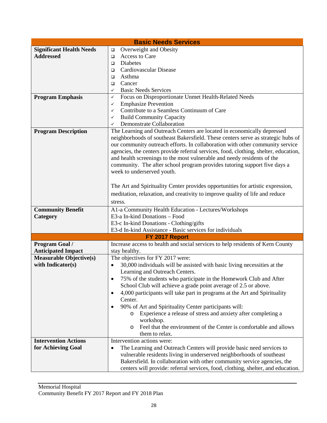| <b>Basic Needs Services</b>                         |                                                                                        |  |  |  |  |  |  |  |
|-----------------------------------------------------|----------------------------------------------------------------------------------------|--|--|--|--|--|--|--|
| <b>Significant Health Needs</b>                     | Overweight and Obesity<br>$\Box$                                                       |  |  |  |  |  |  |  |
| <b>Addressed</b>                                    | Access to Care<br>$\Box$                                                               |  |  |  |  |  |  |  |
|                                                     | Diabetes<br>$\Box$                                                                     |  |  |  |  |  |  |  |
|                                                     | Cardiovascular Disease<br>$\Box$                                                       |  |  |  |  |  |  |  |
|                                                     | Asthma<br>$\Box$                                                                       |  |  |  |  |  |  |  |
|                                                     | Cancer<br>▫                                                                            |  |  |  |  |  |  |  |
|                                                     | <b>Basic Needs Services</b><br>✓                                                       |  |  |  |  |  |  |  |
| <b>Program Emphasis</b>                             | Focus on Disproportionate Unmet Health-Related Needs<br>✓                              |  |  |  |  |  |  |  |
|                                                     | <b>Emphasize Prevention</b><br>✓                                                       |  |  |  |  |  |  |  |
|                                                     | Contribute to a Seamless Continuum of Care<br>✓                                        |  |  |  |  |  |  |  |
|                                                     | <b>Build Community Capacity</b><br>✓                                                   |  |  |  |  |  |  |  |
|                                                     | Demonstrate Collaboration<br>$\checkmark$                                              |  |  |  |  |  |  |  |
| <b>Program Description</b>                          | The Learning and Outreach Centers are located in economically depressed                |  |  |  |  |  |  |  |
|                                                     | neighborhoods of southeast Bakersfield. These centers serve as strategic hubs of       |  |  |  |  |  |  |  |
|                                                     | our community outreach efforts. In collaboration with other community service          |  |  |  |  |  |  |  |
|                                                     | agencies, the centers provide referral services, food, clothing, shelter, education,   |  |  |  |  |  |  |  |
|                                                     | and health screenings to the most vulnerable and needy residents of the                |  |  |  |  |  |  |  |
|                                                     | community. The after school program provides tutoring support five days a              |  |  |  |  |  |  |  |
|                                                     | week to underserved youth.                                                             |  |  |  |  |  |  |  |
|                                                     |                                                                                        |  |  |  |  |  |  |  |
|                                                     | The Art and Spirituality Center provides opportunities for artistic expression,        |  |  |  |  |  |  |  |
|                                                     | meditation, relaxation, and creativity to improve quality of life and reduce           |  |  |  |  |  |  |  |
|                                                     | stress.                                                                                |  |  |  |  |  |  |  |
|                                                     |                                                                                        |  |  |  |  |  |  |  |
| <b>Community Benefit</b>                            | A1-a Community Health Education - Lectures/Workshops                                   |  |  |  |  |  |  |  |
| Category                                            | E3-a In-kind Donations - Food                                                          |  |  |  |  |  |  |  |
|                                                     | E3-c In-kind Donations - Clothing/gifts                                                |  |  |  |  |  |  |  |
|                                                     | E3-d In-kind Assistance - Basic services for individuals                               |  |  |  |  |  |  |  |
|                                                     | FY 2017 Report                                                                         |  |  |  |  |  |  |  |
| Program Goal /                                      | Increase access to health and social services to help residents of Kern County         |  |  |  |  |  |  |  |
| <b>Anticipated Impact</b>                           | stay healthy.                                                                          |  |  |  |  |  |  |  |
| <b>Measurable Objective(s)</b><br>with Indicator(s) | The objectives for FY 2017 were:                                                       |  |  |  |  |  |  |  |
|                                                     | 30,000 individuals will be assisted with basic living necessities at the<br>$\bullet$  |  |  |  |  |  |  |  |
|                                                     | Learning and Outreach Centers.                                                         |  |  |  |  |  |  |  |
|                                                     | 75% of the students who participate in the Homework Club and After                     |  |  |  |  |  |  |  |
|                                                     | School Club will achieve a grade point average of 2.5 or above.                        |  |  |  |  |  |  |  |
|                                                     | 4,000 participants will take part in programs at the Art and Spirituality<br>$\bullet$ |  |  |  |  |  |  |  |
|                                                     | Center.                                                                                |  |  |  |  |  |  |  |
|                                                     | 90% of Art and Spirituality Center participants will:<br>$\bullet$                     |  |  |  |  |  |  |  |
|                                                     | o Experience a release of stress and anxiety after completing a                        |  |  |  |  |  |  |  |
|                                                     | workshop.                                                                              |  |  |  |  |  |  |  |
|                                                     | Feel that the environment of the Center is comfortable and allows<br>O                 |  |  |  |  |  |  |  |
|                                                     | them to relax.                                                                         |  |  |  |  |  |  |  |
| <b>Intervention Actions</b>                         | Intervention actions were:                                                             |  |  |  |  |  |  |  |
| for Achieving Goal                                  | The Learning and Outreach Centers will provide basic need services to<br>$\bullet$     |  |  |  |  |  |  |  |
|                                                     | vulnerable residents living in underserved neighborhoods of southeast                  |  |  |  |  |  |  |  |
|                                                     | Bakersfield. In collaboration with other community service agencies, the               |  |  |  |  |  |  |  |
|                                                     | centers will provide: referral services, food, clothing, shelter, and education.       |  |  |  |  |  |  |  |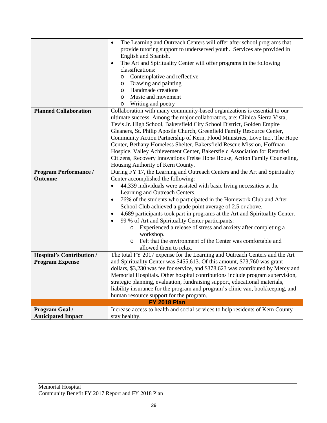|                                  | The Learning and Outreach Centers will offer after school programs that<br>$\bullet$                              |  |  |  |  |  |  |
|----------------------------------|-------------------------------------------------------------------------------------------------------------------|--|--|--|--|--|--|
|                                  | provide tutoring support to underserved youth. Services are provided in                                           |  |  |  |  |  |  |
|                                  | English and Spanish.                                                                                              |  |  |  |  |  |  |
|                                  | The Art and Spirituality Center will offer programs in the following<br>٠                                         |  |  |  |  |  |  |
|                                  | classifications:                                                                                                  |  |  |  |  |  |  |
|                                  | Contemplative and reflective<br>O                                                                                 |  |  |  |  |  |  |
|                                  | Drawing and painting<br>O                                                                                         |  |  |  |  |  |  |
|                                  | Handmade creations<br>O                                                                                           |  |  |  |  |  |  |
|                                  | Music and movement<br>$\circ$                                                                                     |  |  |  |  |  |  |
|                                  | Writing and poetry<br>O                                                                                           |  |  |  |  |  |  |
| <b>Planned Collaboration</b>     | Collaboration with many community-based organizations is essential to our                                         |  |  |  |  |  |  |
|                                  | ultimate success. Among the major collaborators, are: Clinica Sierra Vista,                                       |  |  |  |  |  |  |
|                                  | Tevis Jr. High School, Bakersfield City School District, Golden Empire                                            |  |  |  |  |  |  |
|                                  | Gleaners, St. Philip Apostle Church, Greenfield Family Resource Center,                                           |  |  |  |  |  |  |
|                                  | Community Action Partnership of Kern, Flood Ministries, Love Inc., The Hope                                       |  |  |  |  |  |  |
|                                  | Center, Bethany Homeless Shelter, Bakersfield Rescue Mission, Hoffman                                             |  |  |  |  |  |  |
|                                  | Hospice, Valley Achievement Center, Bakersfield Association for Retarded                                          |  |  |  |  |  |  |
|                                  |                                                                                                                   |  |  |  |  |  |  |
|                                  | Citizens, Recovery Innovations Freise Hope House, Action Family Counseling,                                       |  |  |  |  |  |  |
|                                  | Housing Authority of Kern County.<br>During FY 17, the Learning and Outreach Centers and the Art and Spirituality |  |  |  |  |  |  |
| <b>Program Performance /</b>     |                                                                                                                   |  |  |  |  |  |  |
| <b>Outcome</b>                   | Center accomplished the following:                                                                                |  |  |  |  |  |  |
|                                  | 44,339 individuals were assisted with basic living necessities at the<br>$\bullet$                                |  |  |  |  |  |  |
|                                  | Learning and Outreach Centers.                                                                                    |  |  |  |  |  |  |
|                                  | 76% of the students who participated in the Homework Club and After<br>$\bullet$                                  |  |  |  |  |  |  |
|                                  | School Club achieved a grade point average of 2.5 or above.                                                       |  |  |  |  |  |  |
|                                  | 4,689 participants took part in programs at the Art and Spirituality Center.                                      |  |  |  |  |  |  |
|                                  | 99 % of Art and Spirituality Center participants:                                                                 |  |  |  |  |  |  |
|                                  | Experienced a release of stress and anxiety after completing a<br>O                                               |  |  |  |  |  |  |
|                                  | workshop.                                                                                                         |  |  |  |  |  |  |
|                                  | Felt that the environment of the Center was comfortable and<br>$\circ$                                            |  |  |  |  |  |  |
|                                  | allowed them to relax.                                                                                            |  |  |  |  |  |  |
| <b>Hospital's Contribution /</b> | The total FY 2017 expense for the Learning and Outreach Centers and the Art                                       |  |  |  |  |  |  |
| <b>Program Expense</b>           | and Spirituality Center was \$455,613. Of this amount, \$73,760 was grant                                         |  |  |  |  |  |  |
|                                  | dollars, \$3,230 was fee for service, and \$378,623 was contributed by Mercy and                                  |  |  |  |  |  |  |
|                                  | Memorial Hospitals. Other hospital contributions include program supervision,                                     |  |  |  |  |  |  |
|                                  | strategic planning, evaluation, fundraising support, educational materials,                                       |  |  |  |  |  |  |
|                                  | liability insurance for the program and program's clinic van, bookkeeping, and                                    |  |  |  |  |  |  |
|                                  | human resource support for the program.                                                                           |  |  |  |  |  |  |
|                                  | <b>FY 2018 Plan</b>                                                                                               |  |  |  |  |  |  |
| Program Goal /                   | Increase access to health and social services to help residents of Kern County                                    |  |  |  |  |  |  |
| <b>Anticipated Impact</b>        | stay healthy.                                                                                                     |  |  |  |  |  |  |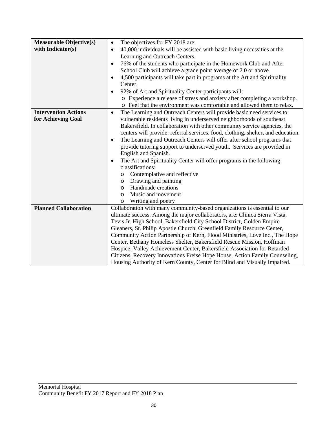| <b>Measurable Objective(s)</b> | The objectives for FY 2018 are:<br>$\bullet$                                          |  |  |  |  |  |  |  |
|--------------------------------|---------------------------------------------------------------------------------------|--|--|--|--|--|--|--|
| with Indicator(s)              | 40,000 individuals will be assisted with basic living necessities at the<br>$\bullet$ |  |  |  |  |  |  |  |
|                                | Learning and Outreach Centers.                                                        |  |  |  |  |  |  |  |
|                                | 76% of the students who participate in the Homework Club and After<br>$\bullet$       |  |  |  |  |  |  |  |
|                                | School Club will achieve a grade point average of 2.0 or above.                       |  |  |  |  |  |  |  |
|                                | 4,500 participants will take part in programs at the Art and Spirituality             |  |  |  |  |  |  |  |
|                                | $\bullet$<br>Center.                                                                  |  |  |  |  |  |  |  |
|                                | 92% of Art and Spirituality Center participants will:<br>$\bullet$                    |  |  |  |  |  |  |  |
|                                | o Experience a release of stress and anxiety after completing a workshop.             |  |  |  |  |  |  |  |
|                                | o Feel that the environment was comfortable and allowed them to relax.                |  |  |  |  |  |  |  |
| <b>Intervention Actions</b>    | The Learning and Outreach Centers will provide basic need services to<br>$\bullet$    |  |  |  |  |  |  |  |
| for Achieving Goal             | vulnerable residents living in underserved neighborhoods of southeast                 |  |  |  |  |  |  |  |
|                                | Bakersfield. In collaboration with other community service agencies, the              |  |  |  |  |  |  |  |
|                                | centers will provide: referral services, food, clothing, shelter, and education.      |  |  |  |  |  |  |  |
|                                | The Learning and Outreach Centers will offer after school programs that<br>$\bullet$  |  |  |  |  |  |  |  |
|                                | provide tutoring support to underserved youth. Services are provided in               |  |  |  |  |  |  |  |
|                                | English and Spanish.                                                                  |  |  |  |  |  |  |  |
|                                | The Art and Spirituality Center will offer programs in the following<br>$\bullet$     |  |  |  |  |  |  |  |
|                                | classifications:                                                                      |  |  |  |  |  |  |  |
|                                | Contemplative and reflective<br>$\circ$                                               |  |  |  |  |  |  |  |
|                                | Drawing and painting<br>$\circ$                                                       |  |  |  |  |  |  |  |
|                                | Handmade creations<br>$\circ$                                                         |  |  |  |  |  |  |  |
|                                | Music and movement<br>$\circ$                                                         |  |  |  |  |  |  |  |
|                                | Writing and poetry<br>O                                                               |  |  |  |  |  |  |  |
| <b>Planned Collaboration</b>   | Collaboration with many community-based organizations is essential to our             |  |  |  |  |  |  |  |
|                                | ultimate success. Among the major collaborators, are: Clinica Sierra Vista,           |  |  |  |  |  |  |  |
|                                | Tevis Jr. High School, Bakersfield City School District, Golden Empire                |  |  |  |  |  |  |  |
|                                | Gleaners, St. Philip Apostle Church, Greenfield Family Resource Center,               |  |  |  |  |  |  |  |
|                                | Community Action Partnership of Kern, Flood Ministries, Love Inc., The Hope           |  |  |  |  |  |  |  |
|                                | Center, Bethany Homeless Shelter, Bakersfield Rescue Mission, Hoffman                 |  |  |  |  |  |  |  |
|                                | Hospice, Valley Achievement Center, Bakersfield Association for Retarded              |  |  |  |  |  |  |  |
|                                | Citizens, Recovery Innovations Freise Hope House, Action Family Counseling,           |  |  |  |  |  |  |  |
|                                | Housing Authority of Kern County, Center for Blind and Visually Impaired.             |  |  |  |  |  |  |  |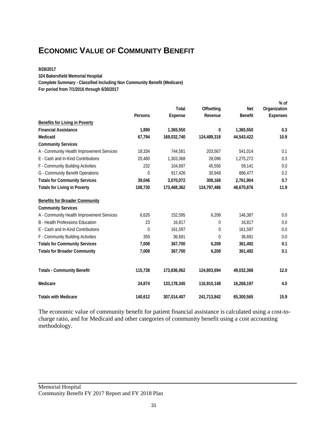### **ECONOMIC VALUE OF COMMUNITY BENEFIT**

#### **9/28/2017**

**324 Bakersfield Memorial Hospital**

**Complete Summary - Classified Including Non Community Benefit (Medicare)**

**For period from 7/1/2016 through 6/30/2017**

|                                           |                |                |             |                | $%$ of          |
|-------------------------------------------|----------------|----------------|-------------|----------------|-----------------|
|                                           |                | Total          | Offsetting  | Net            | Organization    |
|                                           | Persons        | <b>Expense</b> | Revenue     | <b>Benefit</b> | <b>Expenses</b> |
| <b>Benefits for Living in Poverty</b>     |                |                |             |                |                 |
| <b>Financial Assistance</b>               | 1,890          | 1,365,550      | 0           | 1,365,550      | 0.3             |
| Medicaid                                  | 67,794         | 169,032,740    | 124,489,318 | 44,543,422     | 10.9            |
| <b>Community Services</b>                 |                |                |             |                |                 |
| A - Community Health Improvement Services | 18,334         | 744,581        | 203,567     | 541,014        | 0.1             |
| E - Cash and In-Kind Contributions        | 20,480         | 1,303,368      | 28,096      | 1,275,272      | 0.3             |
| F - Community Building Activities         | 232            | 104,697        | 45,556      | 59,141         | 0.0             |
| G - Community Benefit Operations          | $\theta$       | 917,426        | 30,949      | 886,477        | 0.2             |
| <b>Totals for Community Services</b>      | 39,046         | 3,070,072      | 308,168     | 2,761,904      | 0.7             |
| <b>Totals for Living in Poverty</b>       | 108,730        | 173,468,362    | 124,797,486 | 48,670,876     | 11.9            |
| <b>Benefits for Broader Community</b>     |                |                |             |                |                 |
| <b>Community Services</b>                 |                |                |             |                |                 |
| A - Community Health Improvement Services | 6,626          | 152,595        | 6,208       | 146,387        | 0.0             |
| <b>B</b> - Health Professions Education   | 23             | 16,817         | 0           | 16,817         | 0.0             |
| E - Cash and In-Kind Contributions        | $\overline{0}$ | 161,597        | 0           | 161,597        | 0.0             |
| F - Community Building Activities         | 359            | 36,691         | $\theta$    | 36,691         | 0.0             |
| <b>Totals for Community Services</b>      | 7,008          | 367,700        | 6,208       | 361,492        | 0.1             |
| <b>Totals for Broader Community</b>       | 7,008          | 367,700        | 6,208       | 361,492        | 0.1             |
| <b>Totals - Community Benefit</b>         | 115,738        | 173,836,062    | 124,803,694 | 49,032,368     | 12.0            |
| Medicare                                  | 24,874         | 133,178,345    | 116,910,148 | 16,268,197     | 4.0             |
| <b>Totals with Medicare</b>               | 140,612        | 307,014,407    | 241,713,842 | 65,300,565     | 15.9            |

The economic value of community benefit for patient financial assistance is calculated using a cost-tocharge ratio, and for Medicaid and other categories of community benefit using a cost accounting methodology.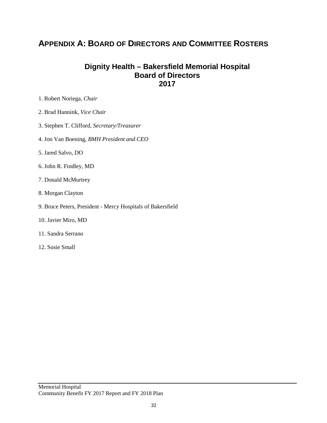### **APPENDIX A: BOARD OF DIRECTORS AND COMMITTEE ROSTERS**

#### **Dignity Health – Bakersfield Memorial Hospital Board of Directors 2017**

- 1. Robert Noriega, *Chair*
- 2. Brad Hannink, *Vice Chair*
- 3. Stephen T. Clifford*, Secretary/Treasurer*
- 4. Jon Van Boening, *BMH President and CEO*
- 5. Jared Salvo, DO
- 6. John R. Findley, MD
- 7. Donald McMurtrey
- 8. Morgan Clayton
- 9. Bruce Peters, President Mercy Hospitals of Bakersfield
- 10. Javier Miro, MD
- 11. Sandra Serrano
- 12. Susie Small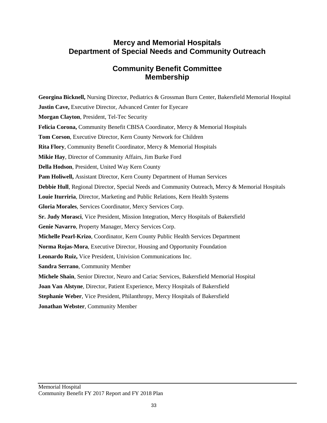### **Mercy and Memorial Hospitals Department of Special Needs and Community Outreach**

### **Community Benefit Committee Membership**

**Georgina Bicknell,** Nursing Director, Pediatrics & Grossman Burn Center, Bakersfield Memorial Hospital **Justin Cave, Executive Director, Advanced Center for Eyecare Morgan Clayton**, President, Tel-Tec Security **Felicia Corona,** Community Benefit CBISA Coordinator, Mercy & Memorial Hospitals **Tom Corson**, Executive Director, Kern County Network for Children **Rita Flory**, Community Benefit Coordinator, Mercy & Memorial Hospitals **Mikie Hay**, Director of Community Affairs, Jim Burke Ford **Della Hodson**, President, United Way Kern County **Pam Holiwell,** Assistant Director, Kern County Department of Human Services **Debbie Hull**, Regional Director, Special Needs and Community Outreach, Mercy & Memorial Hospitals **Louie Iturriria**, Director, Marketing and Public Relations, Kern Health Systems **Gloria Morales**, Services Coordinator, Mercy Services Corp. **Sr. Judy Morasci**, Vice President, Mission Integration, Mercy Hospitals of Bakersfield **Genie Navarro**, Property Manager, Mercy Services Corp. **Michelle Pearl-Krizo**, Coordinator, Kern County Public Health Services Department **Norma Rojas-Mora**, Executive Director, Housing and Opportunity Foundation **Leonardo Ruiz,** Vice President, Univision Communications Inc. **Sandra Serrano**, Community Member **Michele Shain**, Senior Director, Neuro and Cariac Services, Bakersfield Memorial Hospital **Joan Van Alstyne**, Director, Patient Experience, Mercy Hospitals of Bakersfield **Stephanie Weber**, Vice President, Philanthropy, Mercy Hospitals of Bakersfield **Jonathan Webster**, Community Member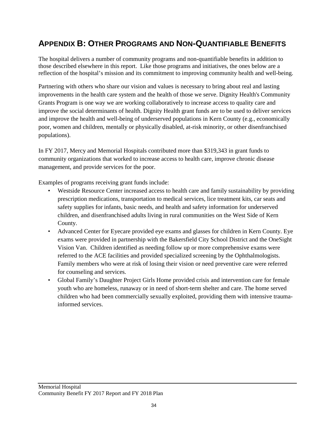### **APPENDIX B: OTHER PROGRAMS AND NON-QUANTIFIABLE BENEFITS**

The hospital delivers a number of community programs and non-quantifiable benefits in addition to those described elsewhere in this report. Like those programs and initiatives, the ones below are a reflection of the hospital's mission and its commitment to improving community health and well-being.

Partnering with others who share our vision and values is necessary to bring about real and lasting improvements in the health care system and the health of those we serve. Dignity Health's Community Grants Program is one way we are working collaboratively to increase access to quality care and improve the social determinants of health. Dignity Health grant funds are to be used to deliver services and improve the health and well-being of underserved populations in Kern County (e.g., economically poor, women and children, mentally or physically disabled, at-risk minority, or other disenfranchised populations).

In FY 2017, Mercy and Memorial Hospitals contributed more than \$319,343 in grant funds to community organizations that worked to increase access to health care, improve chronic disease management, and provide services for the poor.

Examples of programs receiving grant funds include:

- Westside Resource Center increased access to health care and family sustainability by providing prescription medications, transportation to medical services, lice treatment kits, car seats and safety supplies for infants, basic needs, and health and safety information for underserved children, and disenfranchised adults living in rural communities on the West Side of Kern County.
- Advanced Center for Eyecare provided eye exams and glasses for children in Kern County. Eye exams were provided in partnership with the Bakersfield City School District and the OneSight Vision Van. Children identified as needing follow up or more comprehensive exams were referred to the ACE facilities and provided specialized screening by the Ophthalmologists. Family members who were at risk of losing their vision or need preventive care were referred for counseling and services.
- Global Family's Daughter Project Girls Home provided crisis and intervention care for female youth who are homeless, runaway or in need of short-term shelter and care. The home served children who had been commercially sexually exploited, providing them with intensive traumainformed services.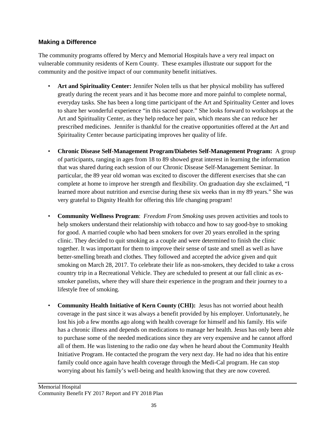#### **Making a Difference**

The community programs offered by Mercy and Memorial Hospitals have a very real impact on vulnerable community residents of Kern County. These examples illustrate our support for the community and the positive impact of our community benefit initiatives.

- **Art and Spirituality Center:** Jennifer Nolen tells us that her physical mobility has suffered greatly during the recent years and it has become more and more painful to complete normal, everyday tasks. She has been a long time participant of the Art and Spirituality Center and loves to share her wonderful experience "in this sacred space." She looks forward to workshops at the Art and Spirituality Center, as they help reduce her pain, which means she can reduce her prescribed medicines. Jennifer is thankful for the creative opportunities offered at the Art and Spirituality Center because participating improves her quality of life.
- **Chronic Disease Self-Management Program/Diabetes Self-Management Program:** A group of participants, ranging in ages from 18 to 89 showed great interest in learning the information that was shared during each session of our Chronic Disease Self-Management Seminar. In particular, the 89 year old woman was excited to discover the different exercises that she can complete at home to improve her strength and flexibility. On graduation day she exclaimed, "I learned more about nutrition and exercise during these six weeks than in my 89 years." She was very grateful to Dignity Health for offering this life changing program!
- **Community Wellness Program**: *Freedom From Smoking* uses proven activities and tools to help smokers understand their relationship with tobacco and how to say good-bye to smoking for good. A married couple who had been smokers for over 20 years enrolled in the spring clinic. They decided to quit smoking as a couple and were determined to finish the clinic together. It was important for them to improve their sense of taste and smell as well as have better-smelling breath and clothes. They followed and accepted the advice given and quit smoking on March 28, 2017. To celebrate their life as non-smokers, they decided to take a cross country trip in a Recreational Vehicle. They are scheduled to present at our fall clinic as exsmoker panelists, where they will share their experience in the program and their journey to a lifestyle free of smoking.
- **Community Health Initiative of Kern County (CHI):** Jesus has not worried about health coverage in the past since it was always a benefit provided by his employer. Unfortunately, he lost his job a few months ago along with health coverage for himself and his family. His wife has a chronic illness and depends on medications to manage her health. Jesus has only been able to purchase some of the needed medications since they are very expensive and he cannot afford all of them. He was listening to the radio one day when he heard about the Community Health Initiative Program. He contacted the program the very next day. He had no idea that his entire family could once again have health coverage through the Medi-Cal program. He can stop worrying about his family's well-being and health knowing that they are now covered.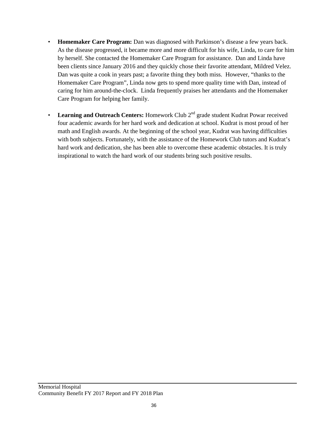- **Homemaker Care Program:** Dan was diagnosed with Parkinson's disease a few years back. As the disease progressed, it became more and more difficult for his wife, Linda, to care for him by herself. She contacted the Homemaker Care Program for assistance. Dan and Linda have been clients since January 2016 and they quickly chose their favorite attendant, Mildred Velez. Dan was quite a cook in years past; a favorite thing they both miss. However, "thanks to the Homemaker Care Program", Linda now gets to spend more quality time with Dan, instead of caring for him around-the-clock. Linda frequently praises her attendants and the Homemaker Care Program for helping her family.
- **Learning and Outreach Centers:** Homework Club 2<sup>nd</sup> grade student Kudrat Powar received four academic awards for her hard work and dedication at school. Kudrat is most proud of her math and English awards. At the beginning of the school year, Kudrat was having difficulties with both subjects. Fortunately, with the assistance of the Homework Club tutors and Kudrat's hard work and dedication, she has been able to overcome these academic obstacles. It is truly inspirational to watch the hard work of our students bring such positive results.